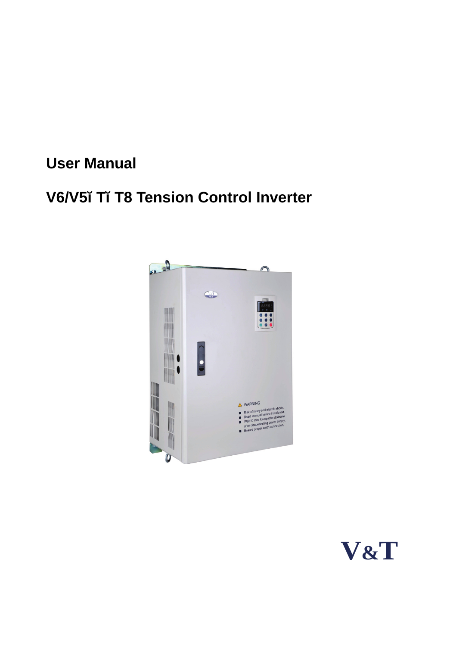# **User Manual**

# **V6/V5−T−T8 Tension Control Inverter**



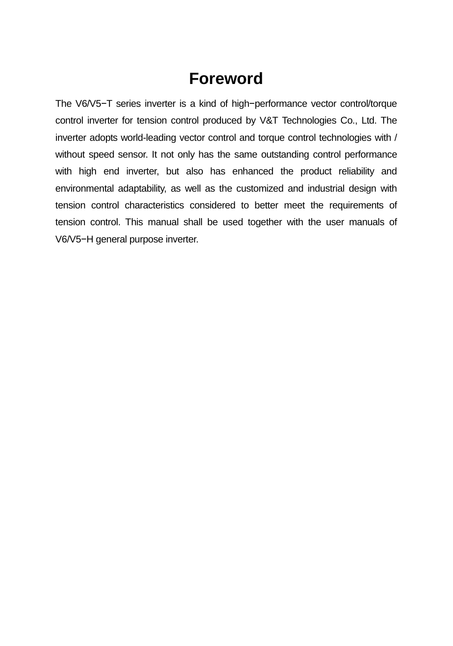# **Foreword**

The V6/V5−T series inverter is a kind of high−performance vector control/torque control inverter for tension control produced by V&T Technologies Co., Ltd. The inverter adopts world-leading vector control and torque control technologies with / without speed sensor. It not only has the same outstanding control performance with high end inverter, but also has enhanced the product reliability and environmental adaptability, as well as the customized and industrial design with tension control characteristics considered to better meet the requirements of tension control. This manual shall be used together with the user manuals of V6/V5−H general purpose inverter.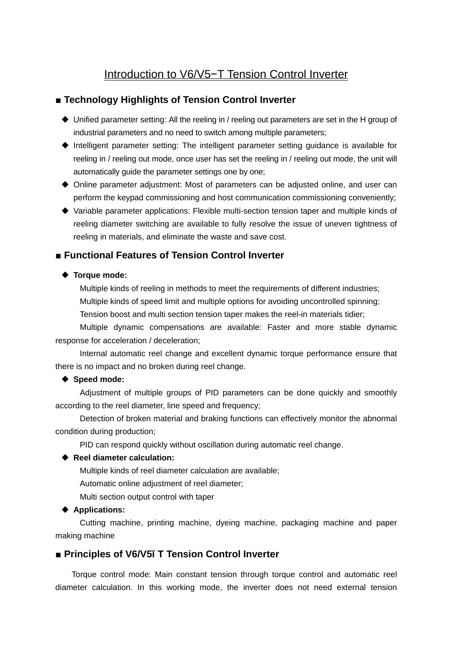## Introduction to V6/V5−T Tension Control Inverter

## ■ Technology Highlights of Tension Control Inverter

- Unified parameter setting: All the reeling in / reeling out parameters are set in the H group of industrial parameters and no need to switch among multiple parameters;
- Intelligent parameter setting: The intelligent parameter setting guidance is available for reeling in / reeling out mode, once user has set the reeling in / reeling out mode, the unit will automatically guide the parameter settings one by one;
- Online parameter adjustment: Most of parameters can be adjusted online, and user can perform the keypad commissioning and host communication commissioning conveniently;
- Variable parameter applications: Flexible multi-section tension taper and multiple kinds of reeling diameter switching are available to fully resolve the issue of uneven tightness of reeling in materials, and eliminate the waste and save cost.

## ■ Functional Features of Tension Control Inverter

#### ◆ Torque mode:

Multiple kinds of reeling in methods to meet the requirements of different industries; Multiple kinds of speed limit and multiple options for avoiding uncontrolled spinning;

Tension boost and multi section tension taper makes the reel-in materials tidier;

Multiple dynamic compensations are available: Faster and more stable dynamic response for acceleration / deceleration;

Internal automatic reel change and excellent dynamic torque performance ensure that there is no impact and no broken during reel change.

#### **Speed mode:**

Adjustment of multiple groups of PID parameters can be done quickly and smoothly according to the reel diameter, line speed and frequency;

Detection of broken material and braking functions can effectively monitor the abnormal condition during production;

PID can respond quickly without oscillation during automatic reel change.

#### **Reel diameter calculation:**

Multiple kinds of reel diameter calculation are available;

Automatic online adjustment of reel diameter;

Multi section output control with taper

#### ◆ Applications:

Cutting machine, printing machine, dyeing machine, packaging machine and paper making machine

#### ■ **Principles of V6/V5−T Tension Control Inverter**

Torque control mode: Main constant tension through torque control and automatic reel diameter calculation. In this working mode, the inverter does not need external tension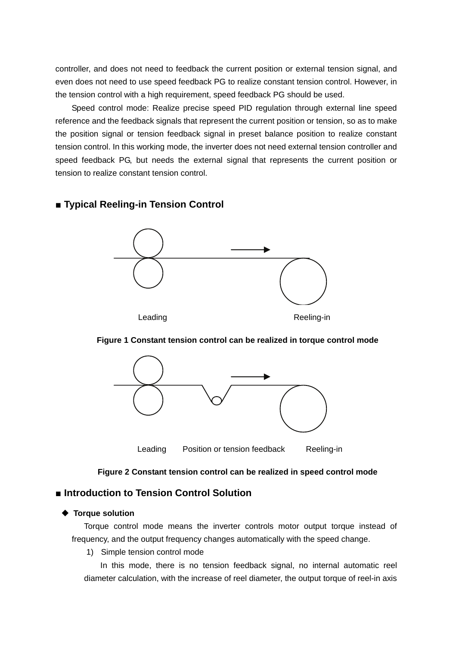controller, and does not need to feedback the current position or external tension signal, and even does not need to use speed feedback PG to realize constant tension control. However, in the tension control with a high requirement, speed feedback PG should be used.

Speed control mode: Realize precise speed PID regulation through external line speed reference and the feedback signals that represent the current position or tension, so as to make the position signal or tension feedback signal in preset balance position to realize constant tension control. In this working mode, the inverter does not need external tension controller and speed feedback PG, but needs the external signal that represents the current position or tension to realize constant tension control.

## ■ **Typical Reeling-in Tension Control**



#### **Figure 1 Constant tension control can be realized in torque control mode**



#### **Figure 2 Constant tension control can be realized in speed control mode**

## ■ **Introduction to Tension Control Solution**

#### **Torque solution**

Torque control mode means the inverter controls motor output torque instead of frequency, and the output frequency changes automatically with the speed change.

1) Simple tension control mode

In this mode, there is no tension feedback signal, no internal automatic reel diameter calculation, with the increase of reel diameter, the output torque of reel-in axis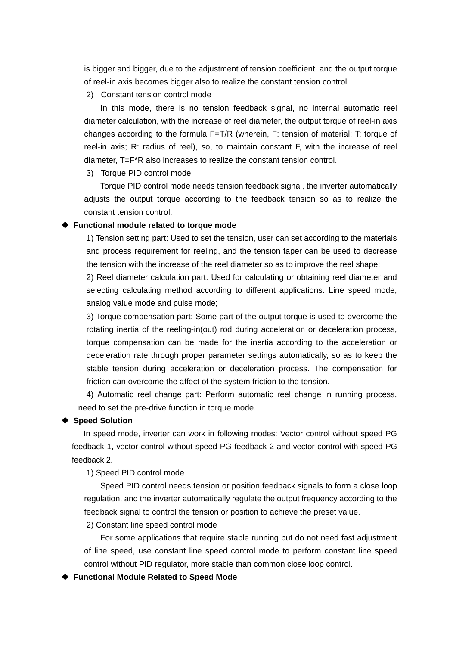is bigger and bigger, due to the adjustment of tension coefficient, and the output torque of reel-in axis becomes bigger also to realize the constant tension control.

2) Constant tension control mode

In this mode, there is no tension feedback signal, no internal automatic reel diameter calculation, with the increase of reel diameter, the output torque of reel-in axis changes according to the formula F=T/R (wherein, F: tension of material; T: torque of reel-in axis; R: radius of reel), so, to maintain constant F, with the increase of reel diameter, T=F\*R also increases to realize the constant tension control.

3) Torque PID control mode

Torque PID control mode needs tension feedback signal, the inverter automatically adjusts the output torque according to the feedback tension so as to realize the constant tension control.

#### **Functional module related to torque mode**

1) Tension setting part: Used to set the tension, user can set according to the materials and process requirement for reeling, and the tension taper can be used to decrease the tension with the increase of the reel diameter so as to improve the reel shape;

2) Reel diameter calculation part: Used for calculating or obtaining reel diameter and selecting calculating method according to different applications: Line speed mode, analog value mode and pulse mode;

3) Torque compensation part: Some part of the output torque is used to overcome the rotating inertia of the reeling-in(out) rod during acceleration or deceleration process, torque compensation can be made for the inertia according to the acceleration or deceleration rate through proper parameter settings automatically, so as to keep the stable tension during acceleration or deceleration process. The compensation for friction can overcome the affect of the system friction to the tension.

4) Automatic reel change part: Perform automatic reel change in running process, need to set the pre-drive function in torque mode.

#### **Speed Solution**

In speed mode, inverter can work in following modes: Vector control without speed PG feedback 1, vector control without speed PG feedback 2 and vector control with speed PG feedback 2.

1) Speed PID control mode

Speed PID control needs tension or position feedback signals to form a close loop regulation, and the inverter automatically regulate the output frequency according to the feedback signal to control the tension or position to achieve the preset value.

2) Constant line speed control mode

For some applications that require stable running but do not need fast adjustment of line speed, use constant line speed control mode to perform constant line speed control without PID regulator, more stable than common close loop control.

**Functional Module Related to Speed Mode**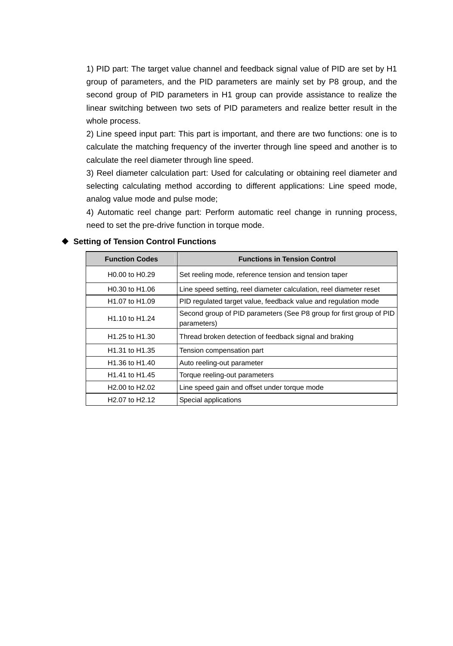1) PID part: The target value channel and feedback signal value of PID are set by H1 group of parameters, and the PID parameters are mainly set by P8 group, and the second group of PID parameters in H1 group can provide assistance to realize the linear switching between two sets of PID parameters and realize better result in the whole process.

2) Line speed input part: This part is important, and there are two functions: one is to calculate the matching frequency of the inverter through line speed and another is to calculate the reel diameter through line speed.

3) Reel diameter calculation part: Used for calculating or obtaining reel diameter and selecting calculating method according to different applications: Line speed mode, analog value mode and pulse mode;

4) Automatic reel change part: Perform automatic reel change in running process, need to set the pre-drive function in torque mode.

| <b>Function Codes</b>                   | <b>Functions in Tension Control</b>                                                |
|-----------------------------------------|------------------------------------------------------------------------------------|
| H <sub>0.00</sub> to H <sub>0.29</sub>  | Set reeling mode, reference tension and tension taper                              |
| H0.30 to H1.06                          | Line speed setting, reel diameter calculation, reel diameter reset                 |
| H <sub>1.0</sub> 7 to H <sub>1.09</sub> | PID regulated target value, feedback value and regulation mode                     |
| H <sub>1.10</sub> to H <sub>1.24</sub>  | Second group of PID parameters (See P8 group for first group of PID<br>parameters) |
| H <sub>1.25</sub> to H <sub>1.30</sub>  | Thread broken detection of feedback signal and braking                             |
| H <sub>1.31</sub> to H <sub>1.35</sub>  | Tension compensation part                                                          |
| H <sub>1.36</sub> to H <sub>1.40</sub>  | Auto reeling-out parameter                                                         |
| H <sub>1.41</sub> to H <sub>1.45</sub>  | Torque reeling-out parameters                                                      |
| H <sub>2.00</sub> to H <sub>2.02</sub>  | Line speed gain and offset under torque mode                                       |
| H <sub>2.0</sub> 7 to H <sub>2.12</sub> | Special applications                                                               |

#### **Setting of Tension Control Functions**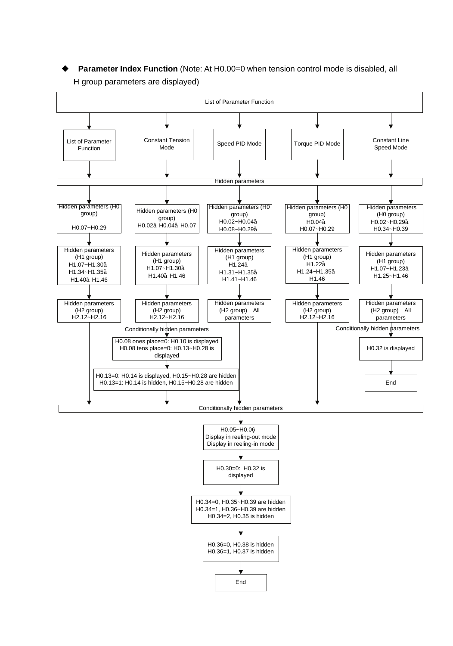**Parameter Index Function** (Note: At H0.00=0 when tension control mode is disabled, all H group parameters are displayed)

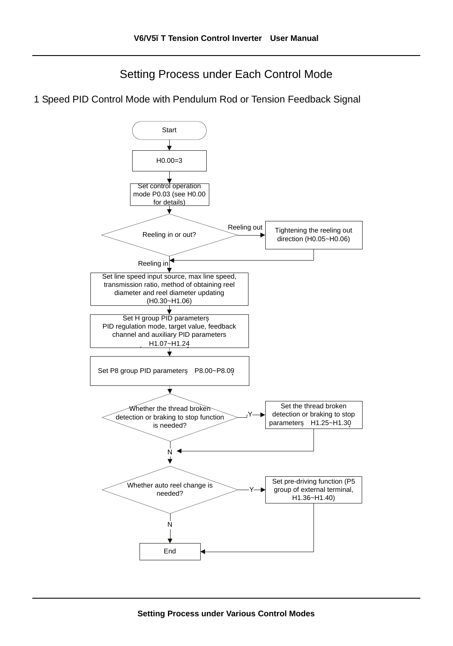Setting Process under Each Control Mode

1 Speed PID Control Mode with Pendulum Rod or Tension Feedback Signal

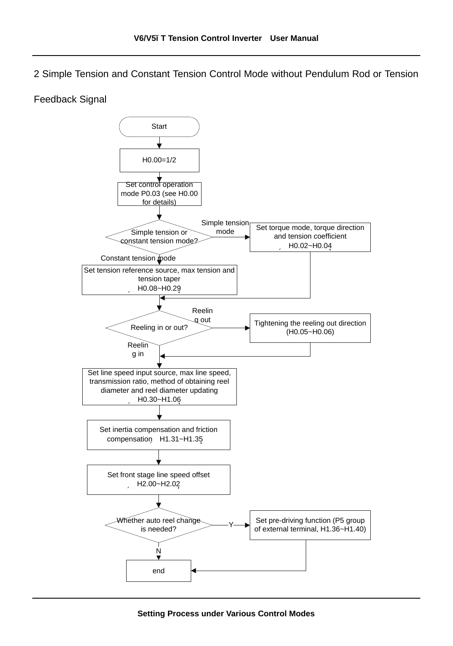2 Simple Tension and Constant Tension Control Mode without Pendulum Rod or Tension

#### Feedback Signal

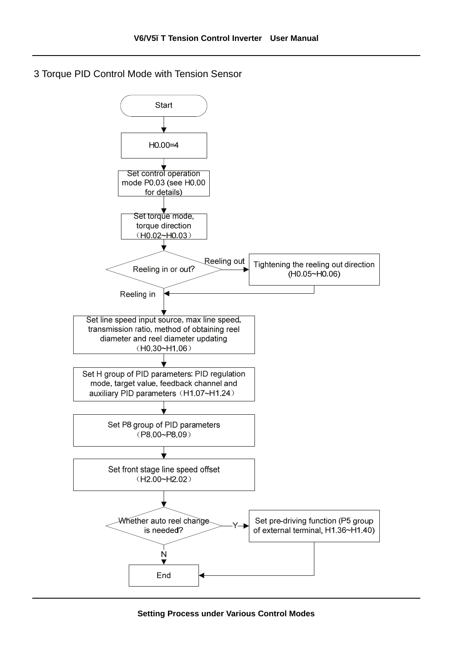3 Torque PID Control Mode with Tension Sensor

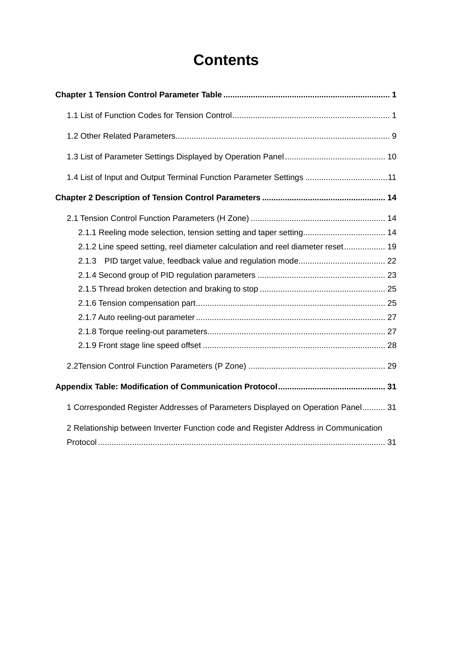# **Contents**

| 1.4 List of Input and Output Terminal Function Parameter Settings  11               |
|-------------------------------------------------------------------------------------|
|                                                                                     |
|                                                                                     |
|                                                                                     |
| 2.1.2 Line speed setting, reel diameter calculation and reel diameter reset 19      |
|                                                                                     |
|                                                                                     |
|                                                                                     |
|                                                                                     |
|                                                                                     |
|                                                                                     |
|                                                                                     |
|                                                                                     |
|                                                                                     |
| 1 Corresponded Register Addresses of Parameters Displayed on Operation Panel 31     |
| 2 Relationship between Inverter Function code and Register Address in Communication |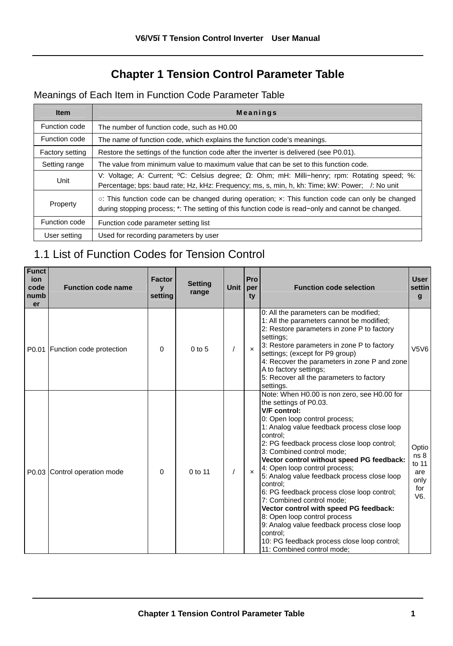## **Chapter 1 Tension Control Parameter Table**

## Meanings of Each Item in Function Code Parameter Table

| <b>Item</b>     | <b>Meanings</b>                                                                                                                                                                                              |
|-----------------|--------------------------------------------------------------------------------------------------------------------------------------------------------------------------------------------------------------|
| Function code   | The number of function code, such as H0.00                                                                                                                                                                   |
| Function code   | The name of function code, which explains the function code's meanings.                                                                                                                                      |
| Factory setting | Restore the settings of the function code after the inverter is delivered (see P0.01).                                                                                                                       |
| Setting range   | The value from minimum value to maximum value that can be set to this function code.                                                                                                                         |
| Unit            | V: Voltage; A: Current; ${}^0C$ : Celsius degree; $\Omega$ : Ohm; mH: Milli-henry; rpm: Rotating speed; %:<br>Percentage; bps: baud rate; Hz, kHz: Frequency; ms, s, min, h, kh: Time; kW: Power; /: No unit |
| Property        | $\circ$ : This function code can be changed during operation; x: This function code can only be changed<br>during stopping process; *: The setting of this function code is read-only and cannot be changed. |
| Function code   | Function code parameter setting list                                                                                                                                                                         |
| User setting    | Used for recording parameters by user                                                                                                                                                                        |

## 1.1 List of Function Codes for Tension Control

| <b>Funct</b><br>ion<br>code<br>numb<br>er | <b>Function code name</b>      | Factor<br>$\mathbf{v}$<br>setting | <b>Setting</b><br>range | <b>Unit</b> | Pro<br>per<br>ty | <b>Function code selection</b>                                                                                                                                                                                                                                                                                                                                                                                                                                                                                                                                                                                                                                                                     | <b>User</b><br>settin<br>g                                    |
|-------------------------------------------|--------------------------------|-----------------------------------|-------------------------|-------------|------------------|----------------------------------------------------------------------------------------------------------------------------------------------------------------------------------------------------------------------------------------------------------------------------------------------------------------------------------------------------------------------------------------------------------------------------------------------------------------------------------------------------------------------------------------------------------------------------------------------------------------------------------------------------------------------------------------------------|---------------------------------------------------------------|
|                                           | P0.01 Function code protection | 0                                 | $0$ to $5$              |             | $\mathsf{x}$     | 0: All the parameters can be modified;<br>1: All the parameters cannot be modified;<br>2: Restore parameters in zone P to factory<br>settings:<br>3: Restore parameters in zone P to factory<br>settings; (except for P9 group)<br>4: Recover the parameters in zone P and zone<br>A to factory settings;<br>5: Recover all the parameters to factory<br>settings.                                                                                                                                                                                                                                                                                                                                 | V5V6                                                          |
|                                           | P0.03 Control operation mode   | $\Omega$                          | $0$ to 11               |             | $\times$         | Note: When H0.00 is non zero, see H0.00 for<br>the settings of P0.03.<br>V/F control:<br>0: Open loop control process;<br>1: Analog value feedback process close loop<br>control:<br>2: PG feedback process close loop control;<br>3: Combined control mode:<br>Vector control without speed PG feedback:<br>4: Open loop control process;<br>5: Analog value feedback process close loop<br>control:<br>6: PG feedback process close loop control;<br>7: Combined control mode:<br>Vector control with speed PG feedback:<br>8: Open loop control process<br>9: Analog value feedback process close loop<br>control:<br>10: PG feedback process close loop control;<br>11: Combined control mode: | Optio<br>ns <sub>8</sub><br>to 11<br>are<br>only<br>for<br>Vß |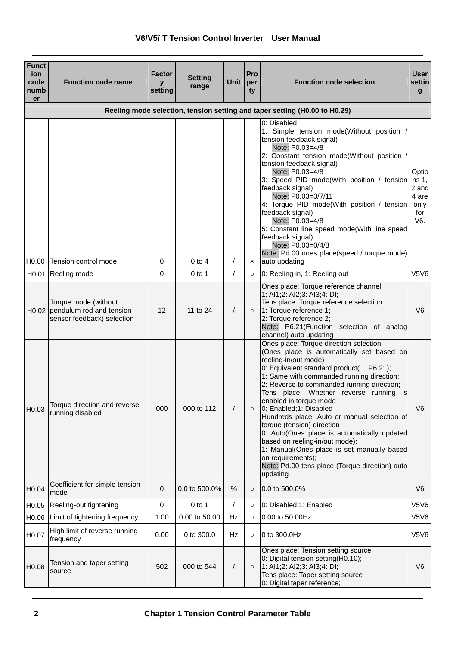|  | V6/V5-T Tension Control Inverter User Manual |  |
|--|----------------------------------------------|--|
|  |                                              |  |

| <b>Funct</b><br>ion<br>code<br>numb<br>er | <b>Function code name</b>                                                            | Factor<br>$\mathbf{v}$<br>setting | Settina<br>range | Unit                 | Pro<br>per<br>ty | <b>Function code selection</b>                                                                                                                                                                                                                                                                                                                                                                                                                                                                                                                                                                            | User<br>settin<br>g                           |
|-------------------------------------------|--------------------------------------------------------------------------------------|-----------------------------------|------------------|----------------------|------------------|-----------------------------------------------------------------------------------------------------------------------------------------------------------------------------------------------------------------------------------------------------------------------------------------------------------------------------------------------------------------------------------------------------------------------------------------------------------------------------------------------------------------------------------------------------------------------------------------------------------|-----------------------------------------------|
|                                           |                                                                                      |                                   |                  |                      |                  | Reeling mode selection, tension setting and taper setting (H0.00 to H0.29)                                                                                                                                                                                                                                                                                                                                                                                                                                                                                                                                |                                               |
|                                           | H0.00 Tension control mode                                                           | 0                                 | $0$ to $4$       | $\prime$             | $\pmb{\times}$   | 0: Disabled<br>1: Simple tension mode(Without position /<br>tension feedback signal)<br>Note: P0.03=4/8<br>2: Constant tension mode(Without position /<br>tension feedback signal)<br>Note: P0.03=4/8<br>3: Speed PID mode(With position / tension ns 1,<br>feedback signal)<br>Note: P0.03=3/7/11<br>4: Torque PID mode(With position / tension<br>feedback signal)<br>Note: P0.03=4/8<br>5: Constant line speed mode(With line speed<br>feedback signal)<br>Note: P0.03=0/4/8<br>Note: Pd.00 ones place(speed / torque mode)<br>auto updating                                                           | Optio<br>2 and<br>4 are<br>only<br>for<br>V6. |
| H0.01                                     | Reeling mode                                                                         | $\Omega$                          | $0$ to 1         | $\prime$             | $\circ$          | 0: Reeling in, 1: Reeling out                                                                                                                                                                                                                                                                                                                                                                                                                                                                                                                                                                             | <b>V5V6</b>                                   |
|                                           | Torque mode (without<br>H0.02 pendulum rod and tension<br>sensor feedback) selection | 12                                | 11 to 24         | $\sqrt{2}$           |                  | Ones place: Torque reference channel<br>1: AI1;2: AI2;3: AI3;4: DI;<br>Tens place: Torque reference selection<br>1: Torque reference 1;<br>2: Torque reference 2;<br>Note: P6.21(Function selection of analog<br>channel) auto updating<br>Ones place: Torque direction selection                                                                                                                                                                                                                                                                                                                         | V <sub>6</sub>                                |
| H <sub>0.03</sub>                         | Torque direction and reverse<br>running disabled                                     | 000                               | 000 to 112       | $\sqrt{\phantom{a}}$ | $\circ$          | (Ones place is automatically set based on<br>reeling-in/out mode)<br>0: Equivalent standard product(<br>$P6.21$ :<br>1: Same with commanded running direction;<br>2: Reverse to commanded running direction;<br>Tens place: Whether reverse running is<br>enabled in torque mode<br>0: Enabled;1: Disabled<br>Hundreds place: Auto or manual selection of<br>torque (tension) direction<br>0: Auto(Ones place is automatically updated<br>based on reeling-in/out mode);<br>1: Manual(Ones place is set manually based<br>on requirements);<br>Note: Pd.00 tens place (Torque direction) auto<br>updating | V <sub>6</sub>                                |
| H <sub>0.04</sub>                         | Coefficient for simple tension<br>mode                                               | $\mathbf 0$                       | 0.0 to 500.0%    | %                    | $\circ$          | 0.0 to 500.0%                                                                                                                                                                                                                                                                                                                                                                                                                                                                                                                                                                                             | V <sub>6</sub>                                |
|                                           | H0.05 Reeling-out tightening                                                         | 0                                 | 0 to 1           | $\prime$             | $\circ$          | 0: Disabled;1: Enabled                                                                                                                                                                                                                                                                                                                                                                                                                                                                                                                                                                                    | V5V6                                          |
|                                           | H0.06 Limit of tightening frequency                                                  | 1.00                              | 0.00 to 50.00    | Hz                   | $\circ$          | 0.00 to 50.00Hz                                                                                                                                                                                                                                                                                                                                                                                                                                                                                                                                                                                           | V5V6                                          |
| H0.07                                     | High limit of reverse running<br>frequency                                           | 0.00                              | 0 to 300.0       | Hz                   | $\circ$          | 0 to 300.0Hz                                                                                                                                                                                                                                                                                                                                                                                                                                                                                                                                                                                              | V5V6                                          |
| H0.08                                     | Tension and taper setting<br>source                                                  | 502                               | 000 to 544       | $\sqrt{2}$           | $\circ$          | Ones place: Tension setting source<br>0: Digital tension setting(H0.10);<br>1: Al1;2: Al2;3: Al3;4: DI;<br>Tens place: Taper setting source<br>0: Digital taper reference;                                                                                                                                                                                                                                                                                                                                                                                                                                | V <sub>6</sub>                                |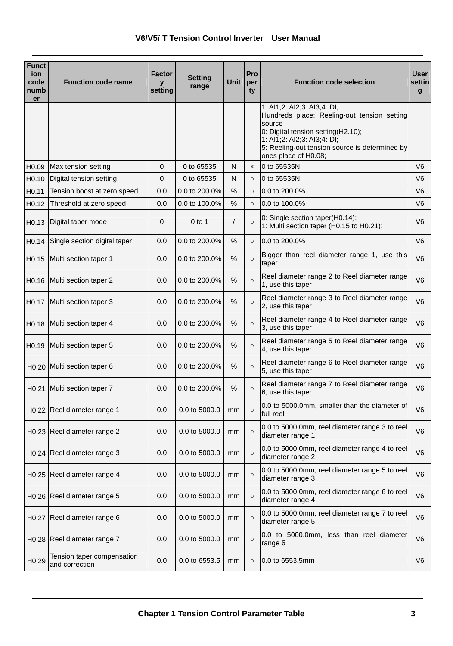| <b>Funct</b><br>ion<br>code<br>numb<br>er | <b>Function code name</b>                    | Factor<br>y<br>setting | Setting<br>range | <b>Unit</b> | Pro<br>per<br>ty          | <b>Function code selection</b>                                                                                                                                                                                                      | User<br>settin<br>$\mathbf{g}$ |
|-------------------------------------------|----------------------------------------------|------------------------|------------------|-------------|---------------------------|-------------------------------------------------------------------------------------------------------------------------------------------------------------------------------------------------------------------------------------|--------------------------------|
|                                           |                                              |                        |                  |             |                           | 1: AI1;2: AI2;3: AI3;4: DI;<br>Hundreds place: Reeling-out tension setting<br>source<br>0: Digital tension setting(H2.10);<br>1: AI1;2: AI2;3: AI3;4: DI;<br>5: Reeling-out tension source is determined by<br>ones place of H0.08; |                                |
| H <sub>0.09</sub>                         | Max tension setting                          | 0                      | 0 to 65535       | N           | $\boldsymbol{\mathsf{x}}$ | 0 to 65535N                                                                                                                                                                                                                         | V <sub>6</sub>                 |
| H <sub>0.10</sub>                         | Digital tension setting                      | 0                      | 0 to 65535       | N           | $\Omega$                  | 0 to 65535N                                                                                                                                                                                                                         | V <sub>6</sub>                 |
| H <sub>0.11</sub>                         | Tension boost at zero speed                  | 0.0                    | 0.0 to 200.0%    | %           | $\circ$                   | 0.0 to 200.0%                                                                                                                                                                                                                       | V <sub>6</sub>                 |
| H <sub>0.12</sub>                         | Threshold at zero speed                      | 0.0                    | 0.0 to 100.0%    | %           | $\circ$                   | 0.0 to 100.0%                                                                                                                                                                                                                       | V <sub>6</sub>                 |
| H <sub>0.13</sub>                         | Digital taper mode                           | 0                      | $0$ to 1         | $\sqrt{2}$  | $\circ$                   | 0: Single section taper(H0.14);<br>1: Multi section taper (H0.15 to H0.21);                                                                                                                                                         | V <sub>6</sub>                 |
| H <sub>0.14</sub>                         | Single section digital taper                 | 0.0                    | 0.0 to 200.0%    | %           | $\circ$                   | 0.0 to 200.0%                                                                                                                                                                                                                       | V <sub>6</sub>                 |
|                                           | H0.15 Multi section taper 1                  | 0.0                    | 0.0 to 200.0%    | %           | $\circ$                   | Bigger than reel diameter range 1, use this<br>taper                                                                                                                                                                                | V <sub>6</sub>                 |
| H <sub>0.16</sub>                         | Multi section taper 2                        | 0.0                    | 0.0 to 200.0%    | %           | $\circ$                   | Reel diameter range 2 to Reel diameter range<br>1, use this taper                                                                                                                                                                   | V <sub>6</sub>                 |
| H <sub>0.17</sub>                         | Multi section taper 3                        | 0.0                    | 0.0 to 200.0%    | %           | $\circ$                   | Reel diameter range 3 to Reel diameter range<br>2, use this taper                                                                                                                                                                   | V <sub>6</sub>                 |
| H <sub>0.18</sub>                         | Multi section taper 4                        | 0.0                    | 0.0 to 200.0%    | $\%$        | $\circ$                   | Reel diameter range 4 to Reel diameter range<br>3, use this taper                                                                                                                                                                   | V <sub>6</sub>                 |
|                                           | H0.19 Multi section taper 5                  | 0.0                    | 0.0 to 200.0%    | %           | $\circ$                   | Reel diameter range 5 to Reel diameter range<br>4, use this taper                                                                                                                                                                   | V <sub>6</sub>                 |
|                                           | H0.20 Multi section taper 6                  | 0.0                    | 0.0 to 200.0%    | %           | $\circ$                   | Reel diameter range 6 to Reel diameter range<br>5, use this taper                                                                                                                                                                   | V <sub>6</sub>                 |
|                                           | H0.21 Multi section taper 7                  | 0.0                    | 0.0 to 200.0%    | %           | $\circ$                   | Reel diameter range 7 to Reel diameter range<br>6, use this taper                                                                                                                                                                   | V <sub>6</sub>                 |
|                                           | H0.22 Reel diameter range 1                  | 0.0                    | 0.0 to 5000.0    | mm          | $\circ$                   | 0.0 to 5000.0mm, smaller than the diameter of<br>full reel                                                                                                                                                                          | V <sub>6</sub>                 |
|                                           | H0.23 Reel diameter range 2                  | 0.0                    | 0.0 to 5000.0    | mm          | $\circ$                   | 0.0 to 5000.0mm, reel diameter range 3 to reel<br>diameter range 1                                                                                                                                                                  | V <sub>6</sub>                 |
|                                           | H0.24 Reel diameter range 3                  | 0.0                    | 0.0 to 5000.0    | mm          | $\circ$                   | 0.0 to 5000.0mm, reel diameter range 4 to reel<br>diameter range 2                                                                                                                                                                  | V <sub>6</sub>                 |
|                                           | H0.25 Reel diameter range 4                  | 0.0                    | 0.0 to 5000.0    | mm          | $\circ$                   | 0.0 to 5000.0mm, reel diameter range 5 to reel<br>diameter range 3                                                                                                                                                                  | V <sub>6</sub>                 |
|                                           | H0.26 Reel diameter range 5                  | 0.0                    | 0.0 to 5000.0    | mm          | $\circ$                   | 0.0 to 5000.0mm, reel diameter range 6 to reel<br>diameter range 4                                                                                                                                                                  | V <sub>6</sub>                 |
|                                           | H0.27 Reel diameter range 6                  | 0.0                    | 0.0 to 5000.0    | mm          | $\circ$                   | 0.0 to 5000.0mm, reel diameter range 7 to reel<br>diameter range 5                                                                                                                                                                  | V <sub>6</sub>                 |
|                                           | H0.28 Reel diameter range 7                  | 0.0                    | 0.0 to 5000.0    | mm          | $\circ$                   | 0.0 to 5000.0mm, less than reel diameter<br>range 6                                                                                                                                                                                 | V <sub>6</sub>                 |
| H0.29                                     | Tension taper compensation<br>and correction | 0.0                    | 0.0 to 6553.5    | mm          | $\circ$                   | 0.0 to 6553.5mm                                                                                                                                                                                                                     | V <sub>6</sub>                 |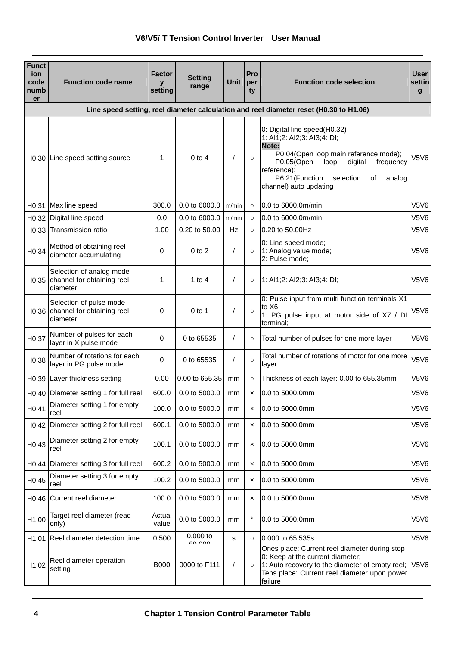| <b>Funct</b><br>ion<br>code<br>numb<br>er | <b>Function code name</b>                                          | Factor<br>y<br>setting | Setting<br>range     | Unit           | Pro<br>per<br>ty          | <b>Function code selection</b>                                                                                                                                                                                                                      | <b>User</b><br>settin<br>g |
|-------------------------------------------|--------------------------------------------------------------------|------------------------|----------------------|----------------|---------------------------|-----------------------------------------------------------------------------------------------------------------------------------------------------------------------------------------------------------------------------------------------------|----------------------------|
|                                           |                                                                    |                        |                      |                |                           | Line speed setting, reel diameter calculation and reel diameter reset (H0.30 to H1.06)                                                                                                                                                              |                            |
|                                           | H0.30 Line speed setting source                                    | 1                      | $0$ to $4$           | $\prime$       | $\circ$                   | 0: Digital line speed(H0.32)<br>1: AI1;2: AI2;3: AI3;4: DI;<br>Note:<br>P0.04(Open loop main reference mode);<br>P0.05(Open<br>loop<br>digital<br>frequency<br>reference);<br>P6.21(Function<br>selection<br>analog<br>οf<br>channel) auto updating | V5V6                       |
| H <sub>0.31</sub>                         | Max line speed                                                     | 300.0                  | 0.0 to 6000.0        | m/min          | $\circ$                   | 0.0 to 6000.0m/min                                                                                                                                                                                                                                  | V5V6                       |
|                                           | H0.32 Digital line speed                                           | 0.0                    | 0.0 to 6000.0        | m/min          | $\circ$                   | 0.0 to 6000.0m/min                                                                                                                                                                                                                                  | V5V6                       |
| H0.33                                     | Transmission ratio                                                 | 1.00                   | 0.20 to 50.00        | Hz             | $\circ$                   | 0.20 to 50.00Hz                                                                                                                                                                                                                                     | V5V6                       |
| H <sub>0.34</sub>                         | Method of obtaining reel<br>diameter accumulating                  | 0                      | $0$ to $2$           | $\overline{1}$ | $\circ$                   | 0: Line speed mode;<br>1: Analog value mode;<br>2: Pulse mode;                                                                                                                                                                                      | V5V6                       |
| H <sub>0.35</sub>                         | Selection of analog mode<br>channel for obtaining reel<br>diameter | $\mathbf{1}$           | $1$ to $4$           | $\prime$       | $\circ$                   | 1: Al1;2: Al2;3: Al3;4: DI;                                                                                                                                                                                                                         | V5V6                       |
| H <sub>0.36</sub>                         | Selection of pulse mode<br>channel for obtaining reel<br>diameter  | 0                      | $0$ to 1             | $\prime$       | $\circ$                   | 0: Pulse input from multi function terminals X1<br>to $X6$ :<br>1: PG pulse input at motor side of X7 / DI<br>terminal;                                                                                                                             | V5V6                       |
| H <sub>0.37</sub>                         | Number of pulses for each<br>layer in X pulse mode                 | 0                      | 0 to 65535           | $\prime$       | $\circ$                   | Total number of pulses for one more layer                                                                                                                                                                                                           | V5V6                       |
| H <sub>0.38</sub>                         | Number of rotations for each<br>layer in PG pulse mode             | 0                      | 0 to 65535           | $\overline{1}$ | $\circ$                   | Total number of rotations of motor for one more<br>layer                                                                                                                                                                                            | V5V6                       |
| H0.39                                     | Layer thickness setting                                            | 0.00                   | 0.00 to 655.35       | mm             | $\circ$                   | Thickness of each layer: 0.00 to 655.35mm                                                                                                                                                                                                           | V5V6                       |
| H <sub>0.40</sub>                         | Diameter setting 1 for full reel                                   | 600.0                  | 0.0 to 5000.0        | mm             | $\boldsymbol{\mathsf{x}}$ | 0.0 to 5000.0mm                                                                                                                                                                                                                                     | V5V6                       |
| H <sub>0.41</sub>                         | Diameter setting 1 for empty<br>reel                               | 100.0                  | 0.0 to 5000.0        | mm             | $\pmb{\times}$            | 0.0 to 5000.0mm                                                                                                                                                                                                                                     | V5V6                       |
| H <sub>0.42</sub>                         | Diameter setting 2 for full reel                                   | 600.1                  | 0.0 to 5000.0        | mm             | $\boldsymbol{\mathsf{x}}$ | 0.0 to 5000.0mm                                                                                                                                                                                                                                     | V5V6                       |
| H <sub>0.43</sub>                         | Diameter setting 2 for empty<br>reel                               | 100.1                  | 0.0 to 5000.0        | mm             | ×                         | 0.0 to 5000.0mm                                                                                                                                                                                                                                     | V5V6                       |
| H <sub>0.44</sub>                         | Diameter setting 3 for full reel                                   | 600.2                  | 0.0 to 5000.0        | mm             | ×                         | 0.0 to 5000.0mm                                                                                                                                                                                                                                     | V5V6                       |
| H <sub>0.45</sub>                         | Diameter setting 3 for empty<br>reel                               | 100.2                  | 0.0 to 5000.0        | mm             | $\boldsymbol{\mathsf{x}}$ | 0.0 to 5000.0mm                                                                                                                                                                                                                                     | V5V6                       |
| H <sub>0.46</sub>                         | Current reel diameter                                              | 100.0                  | 0.0 to 5000.0        | mm             | $\boldsymbol{\mathsf{x}}$ | 0.0 to 5000.0mm                                                                                                                                                                                                                                     | V5V6                       |
| H1.00                                     | Target reel diameter (read<br>only)                                | Actual<br>value        | 0.0 to 5000.0        | mm             | ×                         | 0.0 to 5000.0mm                                                                                                                                                                                                                                     | V5V6                       |
| H <sub>1.01</sub>                         | Reel diameter detection time                                       | 0.500                  | $0.000$ to<br>co ooc | s              | $\circ$                   | 0.000 to 65.535s                                                                                                                                                                                                                                    | V5V6                       |
| H1.02                                     | Reel diameter operation<br>setting                                 | <b>B000</b>            | 0000 to F111         | $\prime$       | $\circ$                   | Ones place: Current reel diameter during stop<br>0: Keep at the current diameter;<br>1: Auto recovery to the diameter of empty reel;<br>Tens place: Current reel diameter upon power<br>failure                                                     | V5V6                       |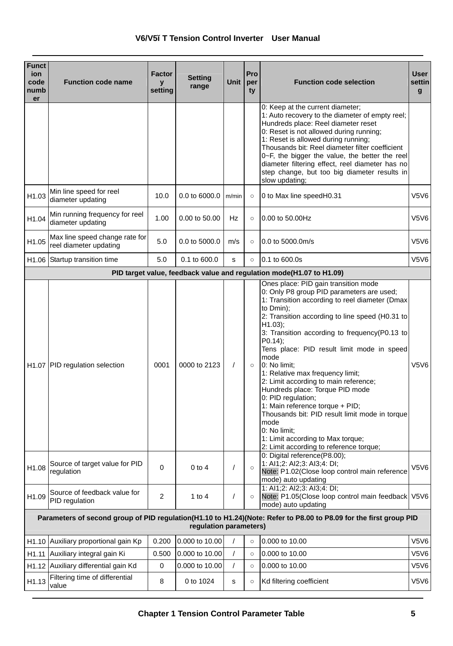| <b>Funct</b><br>ion<br>code<br>numb<br>er | <b>Function code name</b>                                | Factor<br>$\mathbf{v}$<br>setting | <b>Setting</b><br>range | <b>Unit</b>    | Pro<br>per<br>ty | <b>Function code selection</b>                                                                                                                                                                                                                                                                                                                                                                                                                                                                                                                                                                                                                                                             | User<br>settin<br>$\mathbf{g}$ |
|-------------------------------------------|----------------------------------------------------------|-----------------------------------|-------------------------|----------------|------------------|--------------------------------------------------------------------------------------------------------------------------------------------------------------------------------------------------------------------------------------------------------------------------------------------------------------------------------------------------------------------------------------------------------------------------------------------------------------------------------------------------------------------------------------------------------------------------------------------------------------------------------------------------------------------------------------------|--------------------------------|
|                                           |                                                          |                                   |                         |                |                  | 0: Keep at the current diameter;<br>1: Auto recovery to the diameter of empty reel;<br>Hundreds place: Reel diameter reset<br>0: Reset is not allowed during running;<br>1: Reset is allowed during running;<br>Thousands bit: Reel diameter filter coefficient<br>0~F, the bigger the value, the better the reel<br>diameter filtering effect, reel diameter has no<br>step change, but too big diameter results in<br>slow updating;                                                                                                                                                                                                                                                     |                                |
| H1.03                                     | Min line speed for reel<br>diameter updating             | 10.0                              | 0.0 to 6000.0 m/min     |                | $\circ$          | 0 to Max line speedH0.31                                                                                                                                                                                                                                                                                                                                                                                                                                                                                                                                                                                                                                                                   | <b>V5V6</b>                    |
| H1.04                                     | Min running frequency for reel<br>diameter updating      | 1.00                              | 0.00 to 50.00           | Hz             | $\Omega$         | 0.00 to 50.00Hz                                                                                                                                                                                                                                                                                                                                                                                                                                                                                                                                                                                                                                                                            | V5V6                           |
| H1.05                                     | Max line speed change rate for<br>reel diameter updating | 5.0                               | 0.0 to 5000.0           | m/s            | $\circ$          | 0.0 to 5000.0m/s                                                                                                                                                                                                                                                                                                                                                                                                                                                                                                                                                                                                                                                                           | V5V6                           |
| H1.06                                     | Startup transition time                                  | 5.0                               | 0.1 to 600.0            | s              | $\circ$          | 0.1 to 600.0s                                                                                                                                                                                                                                                                                                                                                                                                                                                                                                                                                                                                                                                                              | V5V6                           |
|                                           |                                                          |                                   |                         |                |                  | PID target value, feedback value and regulation mode(H1.07 to H1.09)                                                                                                                                                                                                                                                                                                                                                                                                                                                                                                                                                                                                                       |                                |
|                                           | H1.07 PID regulation selection                           | 0001                              | 0000 to 2123            | $\prime$       | $\circ$          | Ones place: PID gain transition mode<br>0: Only P8 group PID parameters are used;<br>1: Transition according to reel diameter (Dmax)<br>to Dmin):<br>2: Transition according to line speed (H0.31 to<br>$H1.03$ :<br>3: Transition according to frequency(P0.13 to<br>$P(0.14)$ ;<br>Tens place: PID result limit mode in speed<br>mode<br>0: No limit:<br>1: Relative max frequency limit;<br>2: Limit according to main reference;<br>Hundreds place: Torque PID mode<br>0: PID regulation;<br>1: Main reference torque + PID;<br>Thousands bit: PID result limit mode in torque<br>mode<br>0: No limit;<br>1: Limit according to Max torque;<br>2: Limit according to reference torque; | V5V6                           |
| H1.08                                     | Source of target value for PID<br>regulation             | $\mathbf 0$                       | $0$ to $4$              | $\overline{1}$ | $\circ$          | 0: Digital reference(P8.00);<br>1: Al1;2: Al2;3: Al3;4: DI;<br>Note: P1.02(Close loop control main reference<br>mode) auto updating                                                                                                                                                                                                                                                                                                                                                                                                                                                                                                                                                        | V5V6                           |
| H1.09                                     | Source of feedback value for<br>PID regulation           | 2                                 | 1 to $4$                | 7              | $\circ$          | 1: AI1;2: AI2;3: AI3;4: DI;<br>Note: P1.05(Close loop control main feedback V5V6<br>mode) auto updating                                                                                                                                                                                                                                                                                                                                                                                                                                                                                                                                                                                    |                                |
|                                           |                                                          |                                   | regulation parameters)  |                |                  | Parameters of second group of PID regulation(H1.10 to H1.24)(Note: Refer to P8.00 to P8.09 for the first group PID                                                                                                                                                                                                                                                                                                                                                                                                                                                                                                                                                                         |                                |
|                                           | H1.10 Auxiliary proportional gain Kp                     | 0.200                             | 0.000 to 10.00          |                | $\circ$          | 0.000 to 10.00                                                                                                                                                                                                                                                                                                                                                                                                                                                                                                                                                                                                                                                                             | V5V6                           |
|                                           | H1.11 Auxiliary integral gain Ki                         | 0.500                             | 0.000 to 10.00          | 1              | $\circ$          | 0.000 to 10.00                                                                                                                                                                                                                                                                                                                                                                                                                                                                                                                                                                                                                                                                             | V5V6                           |
|                                           | H1.12 Auxiliary differential gain Kd                     | 0                                 | 0.000 to 10.00          | $\prime$       | $\circ$          | 0.000 to 10.00                                                                                                                                                                                                                                                                                                                                                                                                                                                                                                                                                                                                                                                                             | V5V6                           |
| H1.13                                     | Filtering time of differential<br>value                  | 8                                 | 0 to 1024               | s              | $\circ$          | Kd filtering coefficient                                                                                                                                                                                                                                                                                                                                                                                                                                                                                                                                                                                                                                                                   | V5V6                           |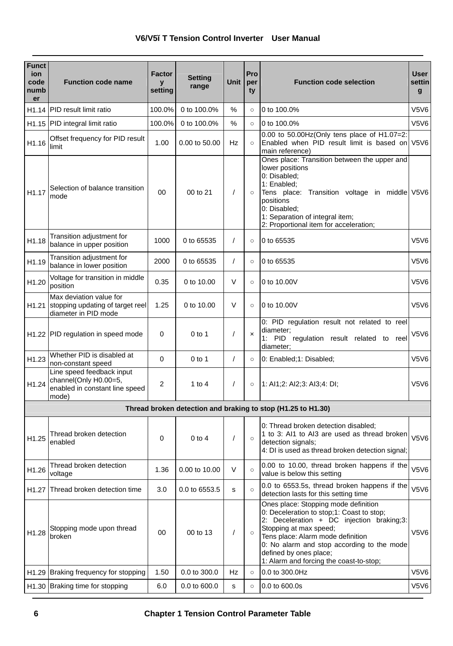| <b>Funct</b><br>ion<br>code<br>numb<br>er | <b>Function code name</b>                                                                     | Factor<br>y<br>setting | <b>Setting</b><br>range | <b>Unit</b>          | Pro<br>per<br>ty | <b>Function code selection</b>                                                                                                                                                                                                                                                                                   | <b>User</b><br>settin<br>g |
|-------------------------------------------|-----------------------------------------------------------------------------------------------|------------------------|-------------------------|----------------------|------------------|------------------------------------------------------------------------------------------------------------------------------------------------------------------------------------------------------------------------------------------------------------------------------------------------------------------|----------------------------|
|                                           | H1.14 PID result limit ratio                                                                  | 100.0%                 | 0 to 100.0%             | %                    | $\circ$          | 0 to 100.0%                                                                                                                                                                                                                                                                                                      | V5V6                       |
| H1.15                                     | PID integral limit ratio                                                                      | 100.0%                 | 0 to 100.0%             | $\%$                 | $\circ$          | 0 to 100.0%                                                                                                                                                                                                                                                                                                      | V5V6                       |
| H1.16                                     | Offset frequency for PID result<br>limit                                                      | 1.00                   | 0.00 to 50.00           | Hz                   |                  | 0.00 to 50.00Hz(Only tens place of H1.07=2:<br>Enabled when PID result limit is based on V5V6<br>main reference)                                                                                                                                                                                                 |                            |
| H1.17                                     | Selection of balance transition<br>mode                                                       | 0 <sub>0</sub>         | 00 to 21                | $\sqrt{\phantom{a}}$ | $\circ$          | Ones place: Transition between the upper and<br>lower positions<br>0: Disabled;<br>1: Enabled;<br>Tens place: Transition voltage in middle V5V6<br>positions<br>0: Disabled:<br>1: Separation of integral item;<br>2: Proportional item for acceleration;                                                        |                            |
| H1.18                                     | Transition adjustment for<br>balance in upper position                                        | 1000                   | 0 to 65535              | $\prime$             | $\Omega$         | 0 to 65535                                                                                                                                                                                                                                                                                                       | V5V6                       |
| H1.19                                     | Transition adjustment for<br>balance in lower position                                        | 2000                   | 0 to 65535              | $\prime$             | $\circ$          | 0 to 65535                                                                                                                                                                                                                                                                                                       | V5V6                       |
| H1.20                                     | Voltage for transition in middle<br>position                                                  | 0.35                   | 0 to 10.00              | $\vee$               | $\circ$          | 0 to 10,00V                                                                                                                                                                                                                                                                                                      | V5V6                       |
| H1.21                                     | Max deviation value for<br>stopping updating of target reel<br>diameter in PID mode           | 1.25                   | 0 to 10.00              | $\vee$               | $\circ$          | 0 to 10,00V                                                                                                                                                                                                                                                                                                      | V5V6                       |
|                                           | H1.22 PID regulation in speed mode                                                            | $\Omega$               | $0$ to 1                | $\prime$             | $\mathbf{x}$     | 0: PID regulation result not related to reel<br>diameter;<br>1: PID regulation result related to reel<br>diameter:                                                                                                                                                                                               | <b>V5V6</b>                |
| H1.23                                     | Whether PID is disabled at<br>non-constant speed                                              | $\Omega$               | $0$ to 1                | $\prime$             | $\circ$          | 0: Enabled;1: Disabled;                                                                                                                                                                                                                                                                                          | V5V6                       |
| H1.24                                     | Line speed feedback input<br>channel(Only H0.00=5,<br>enabled in constant line speed<br>mode) | $\overline{2}$         | 1 to $4$                | $\prime$             | $\circ$          | 1: Al1;2: Al2;3: Al3;4: DI;                                                                                                                                                                                                                                                                                      | V5V6                       |
|                                           |                                                                                               |                        |                         |                      |                  | Thread broken detection and braking to stop (H1.25 to H1.30)                                                                                                                                                                                                                                                     |                            |
| H1.25                                     | Thread broken detection<br>enabled                                                            | 0                      | $0$ to $4$              | $\prime$             | $\circ$          | 0: Thread broken detection disabled;<br>1 to 3: Al1 to Al3 are used as thread broken<br>detection signals;<br>4: DI is used as thread broken detection signal;                                                                                                                                                   | V5V6                       |
| H1.26                                     | Thread broken detection<br>voltage                                                            | 1.36                   | 0.00 to 10.00           | $\vee$               | $\circ$          | 0.00 to 10.00, thread broken happens if the<br>value is below this setting                                                                                                                                                                                                                                       | V5V6                       |
| H <sub>1.27</sub>                         | Thread broken detection time                                                                  | 3.0                    | 0.0 to 6553.5           | s                    | $\circ$          | 0.0 to 6553.5s, thread broken happens if the<br>detection lasts for this setting time                                                                                                                                                                                                                            | V5V6                       |
| H <sub>1.28</sub>                         | Stopping mode upon thread<br>broken                                                           | 00                     | 00 to 13                | $\sqrt{\phantom{a}}$ | $\circ$          | Ones place: Stopping mode definition<br>0: Deceleration to stop;1: Coast to stop;<br>2: Deceleration + DC injection braking;3:<br>Stopping at max speed;<br>Tens place: Alarm mode definition<br>0: No alarm and stop according to the mode<br>defined by ones place;<br>1: Alarm and forcing the coast-to-stop; | V5V6                       |
|                                           | H1.29 Braking frequency for stopping                                                          | 1.50                   | 0.0 to 300.0            | Hz                   | $\circ$          | 0.0 to 300.0Hz                                                                                                                                                                                                                                                                                                   | V5V6                       |
|                                           | H1.30 Braking time for stopping                                                               | 6.0                    | 0.0 to 600.0            | s                    | $\circ$          | 0.0 to 600.0s                                                                                                                                                                                                                                                                                                    | V5V6                       |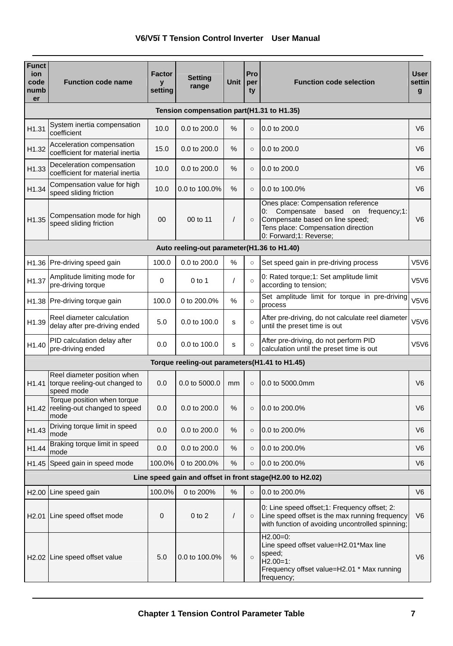| <b>Funct</b><br>ion<br>code<br>numb<br>er | <b>Function code name</b>                                                  | <b>Factor</b><br>y<br>setting | Setting<br>range                              | <b>Unit</b>   | Pro<br>per<br>ty | <b>Function code selection</b>                                                                                                                                                     | <b>User</b><br>settin<br>g |
|-------------------------------------------|----------------------------------------------------------------------------|-------------------------------|-----------------------------------------------|---------------|------------------|------------------------------------------------------------------------------------------------------------------------------------------------------------------------------------|----------------------------|
|                                           |                                                                            |                               | Tension compensation part(H1.31 to H1.35)     |               |                  |                                                                                                                                                                                    |                            |
| H1.31                                     | System inertia compensation<br>coefficient                                 | 10.0                          | 0.0 to 200.0                                  | %             | $\circ$          | 0.0 to 200.0                                                                                                                                                                       | V <sub>6</sub>             |
| H1.32                                     | Acceleration compensation<br>coefficient for material inertia              | 15.0                          | 0.0 to 200.0                                  | %             | $\circ$          | 0.0 to 200.0                                                                                                                                                                       | V6                         |
| H1.33                                     | Deceleration compensation<br>coefficient for material inertia              | 10.0                          | 0.0 to 200.0                                  | %             | $\Omega$         | 0.0 to 200.0                                                                                                                                                                       | V <sub>6</sub>             |
| H1.34                                     | Compensation value for high<br>speed sliding friction                      | 10.0                          | 0.0 to 100.0%                                 | %             | $\circ$          | 0.0 to 100.0%                                                                                                                                                                      | V <sub>6</sub>             |
| H1.35                                     | Compensation mode for high<br>speed sliding friction                       | 00                            | 00 to 11                                      | $\prime$      | $\circ$          | Ones place: Compensation reference<br>Compensate based on<br>0:<br>frequency;1:<br>Compensate based on line speed;<br>Tens place: Compensation direction<br>0: Forward;1: Reverse; | V <sub>6</sub>             |
|                                           |                                                                            |                               | Auto reeling-out parameter(H1.36 to H1.40)    |               |                  |                                                                                                                                                                                    |                            |
|                                           | H1.36 Pre-driving speed gain                                               | 100.0                         | 0.0 to 200.0                                  | %             | $\Omega$         | Set speed gain in pre-driving process                                                                                                                                              | V5V6                       |
| H1.37                                     | Amplitude limiting mode for<br>pre-driving torque                          | 0                             | $0$ to 1                                      | $\prime$      | $\circ$          | 0: Rated torque;1: Set amplitude limit<br>according to tension;                                                                                                                    | V5V6                       |
|                                           | H1.38 Pre-driving torque gain                                              | 100.0                         | 0 to 200.0%                                   | %             | $\circ$          | Set amplitude limit for torque in pre-driving<br>process                                                                                                                           | V5V6                       |
| H1.39                                     | Reel diameter calculation<br>delay after pre-driving ended                 | 5.0                           | 0.0 to 100.0                                  | s             | $\circ$          | After pre-driving, do not calculate reel diameter<br>until the preset time is out                                                                                                  | V5V6                       |
| H1.40                                     | PID calculation delay after<br>pre-driving ended                           | 0.0                           | 0.0 to 100.0                                  | s             | $\circ$          | After pre-driving, do not perform PID<br>calculation until the preset time is out                                                                                                  | V5V6                       |
|                                           |                                                                            |                               | Torque reeling-out parameters(H1.41 to H1.45) |               |                  |                                                                                                                                                                                    |                            |
| H <sub>1.41</sub>                         | Reel diameter position when<br>torque reeling-out changed to<br>speed mode | 0.0                           | 0.0 to 5000.0                                 | mm            | $\circ$          | 0.0 to 5000.0mm                                                                                                                                                                    | V6                         |
| H1.42                                     | Torque position when torque<br>reeling-out changed to speed<br>mode        | 0.0                           | 0.0 to 200.0                                  | $\frac{0}{0}$ | $\circ$          | 0.0 to 200.0%                                                                                                                                                                      | V <sub>6</sub>             |
| H1.43                                     | Driving torque limit in speed<br>mode                                      | 0.0                           | 0.0 to 200.0                                  | %             | $\circ$          | 0.0 to 200.0%                                                                                                                                                                      | V <sub>6</sub>             |
| H1.44                                     | Braking torque limit in speed<br>mode                                      | 0.0                           | 0.0 to 200.0                                  | %             | $\circ$          | 0.0 to 200.0%                                                                                                                                                                      | V6                         |
| H1.45                                     | Speed gain in speed mode                                                   | 100.0%                        | 0 to 200.0%                                   | %             | $\circ$          | 0.0 to 200.0%                                                                                                                                                                      | V6                         |
|                                           |                                                                            |                               |                                               |               |                  | Line speed gain and offset in front stage(H2.00 to H2.02)                                                                                                                          |                            |
| H <sub>2.00</sub>                         | Line speed gain                                                            | 100.0%                        | 0 to 200%                                     | %             | $\circ$          | 0.0 to 200.0%                                                                                                                                                                      | V6                         |
|                                           | H <sub>2.01</sub> Line speed offset mode                                   | $\mathbf 0$                   | $0$ to $2$                                    | $\sqrt{2}$    | $\circ$          | 0: Line speed offset;1: Frequency offset; 2:<br>Line speed offset is the max running frequency<br>with function of avoiding uncontrolled spinning;                                 | V <sub>6</sub>             |
|                                           | H2.02 Line speed offset value                                              | 5.0                           | 0.0 to 100.0%                                 | %             | $\circ$          | $H2.00=0$ :<br>Line speed offset value=H2.01*Max line<br>speed:<br>$H2.00=1$ :<br>Frequency offset value=H2.01 * Max running<br>frequency;                                         | V <sub>6</sub>             |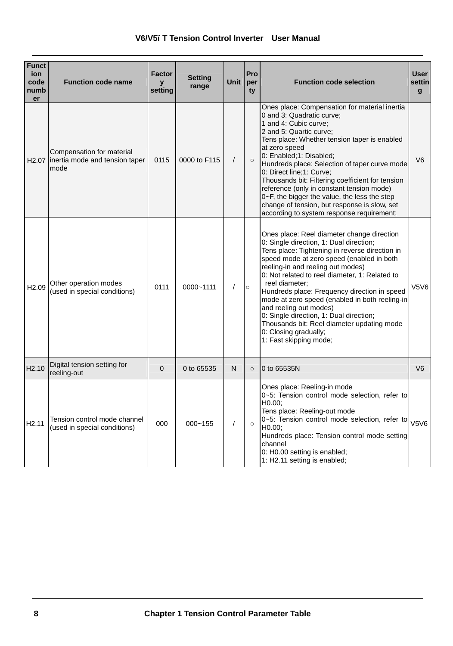| <b>Funct</b><br>ion<br>code<br>numb<br>er | <b>Function code name</b>                                                 | <b>Factor</b><br>$\mathbf{v}$<br>setting | <b>Setting</b><br>range | <b>Unit</b> | Pro<br>per<br>ty | <b>Function code selection</b>                                                                                                                                                                                                                                                                                                                                                                                                                                                                                                                                        | <b>User</b><br>settin<br>$\mathbf{q}$ |
|-------------------------------------------|---------------------------------------------------------------------------|------------------------------------------|-------------------------|-------------|------------------|-----------------------------------------------------------------------------------------------------------------------------------------------------------------------------------------------------------------------------------------------------------------------------------------------------------------------------------------------------------------------------------------------------------------------------------------------------------------------------------------------------------------------------------------------------------------------|---------------------------------------|
|                                           | Compensation for material<br>H2.07 inertia mode and tension taper<br>mode | 0115                                     | 0000 to F115            | $\prime$    | $\circ$          | Ones place: Compensation for material inertia<br>0 and 3: Quadratic curve:<br>1 and 4: Cubic curve:<br>2 and 5: Quartic curve:<br>Tens place: Whether tension taper is enabled<br>at zero speed<br>0: Enabled;1: Disabled;<br>Hundreds place: Selection of taper curve mode<br>0: Direct line;1: Curve;<br>Thousands bit: Filtering coefficient for tension<br>reference (only in constant tension mode)<br>0~F, the bigger the value, the less the step<br>change of tension, but response is slow, set<br>according to system response requirement;                 | V <sub>6</sub>                        |
| H <sub>2.09</sub>                         | Other operation modes<br>(used in special conditions)                     | 0111                                     | $0000 - 1111$           | $\prime$    | $\circ$          | Ones place: Reel diameter change direction<br>0: Single direction, 1: Dual direction;<br>Tens place: Tightening in reverse direction in<br>speed mode at zero speed (enabled in both<br>reeling-in and reeling out modes)<br>0: Not related to reel diameter, 1: Related to<br>reel diameter:<br>Hundreds place: Frequency direction in speed<br>mode at zero speed (enabled in both reeling-in<br>and reeling out modes)<br>0: Single direction, 1: Dual direction;<br>Thousands bit: Reel diameter updating mode<br>0: Closing gradually;<br>1: Fast skipping mode; | V5V6                                  |
| H <sub>2.10</sub>                         | Digital tension setting for<br>reeling-out                                | $\Omega$                                 | 0 to 65535              | N           | $\circ$          | 0 to 65535N                                                                                                                                                                                                                                                                                                                                                                                                                                                                                                                                                           | V <sub>6</sub>                        |
| H <sub>2.11</sub>                         | Tension control mode channel<br>(used in special conditions)              | 000                                      | $000 - 155$             | $\prime$    | $\circ$          | Ones place: Reeling-in mode<br>0~5: Tension control mode selection, refer to<br>H <sub>0.00</sub> :<br>Tens place: Reeling-out mode<br>$10-5$ : Tension control mode selection, refer to $V5V6$<br>H <sub>0.00</sub><br>Hundreds place: Tension control mode setting<br>channel<br>0: H0.00 setting is enabled;<br>1: H2.11 setting is enabled;                                                                                                                                                                                                                       |                                       |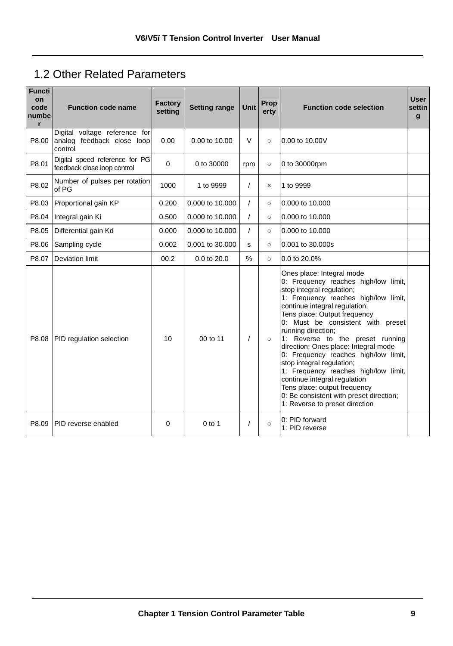## 1.2 Other Related Parameters

| <b>Functi</b><br>on<br>code<br>numbe<br>r | <b>Function code name</b>                                              | <b>Factory</b><br>setting | <b>Setting range</b> | Unit     | Prop<br>erty | <b>Function code selection</b>                                                                                                                                                                                                                                                                                                                                                                                                                                                                                                                                                                           | <b>User</b><br>settin<br>$\mathbf{g}$ |
|-------------------------------------------|------------------------------------------------------------------------|---------------------------|----------------------|----------|--------------|----------------------------------------------------------------------------------------------------------------------------------------------------------------------------------------------------------------------------------------------------------------------------------------------------------------------------------------------------------------------------------------------------------------------------------------------------------------------------------------------------------------------------------------------------------------------------------------------------------|---------------------------------------|
| P8.00                                     | Digital voltage reference for<br>analog feedback close loop<br>control | 0.00                      | $0.00$ to $10.00$    | V        | $\circ$      | 0.00 to 10.00V                                                                                                                                                                                                                                                                                                                                                                                                                                                                                                                                                                                           |                                       |
| P8.01                                     | Digital speed reference for PG<br>feedback close loop control          | $\Omega$                  | 0 to 30000           | rpm      | $\circ$      | 0 to 30000rpm                                                                                                                                                                                                                                                                                                                                                                                                                                                                                                                                                                                            |                                       |
| P8.02                                     | Number of pulses per rotation<br>of PG                                 | 1000                      | 1 to 9999            | 7        | $\mathsf{x}$ | 1 to 9999                                                                                                                                                                                                                                                                                                                                                                                                                                                                                                                                                                                                |                                       |
| P8.03                                     | Proportional gain KP                                                   | 0.200                     | 0.000 to 10.000      |          | $\circ$      | 0.000 to 10.000                                                                                                                                                                                                                                                                                                                                                                                                                                                                                                                                                                                          |                                       |
| P8.04                                     | Integral gain Ki                                                       | 0.500                     | 0.000 to 10.000      | $\prime$ | $\circ$      | 0.000 to 10.000                                                                                                                                                                                                                                                                                                                                                                                                                                                                                                                                                                                          |                                       |
| P8.05                                     | Differential gain Kd                                                   | 0.000                     | 0.000 to 10.000      | $\prime$ | $\circ$      | 0.000 to 10.000                                                                                                                                                                                                                                                                                                                                                                                                                                                                                                                                                                                          |                                       |
| P8.06                                     | Sampling cycle                                                         | 0.002                     | 0.001 to 30.000      | s        | $\circ$      | 0.001 to 30.000s                                                                                                                                                                                                                                                                                                                                                                                                                                                                                                                                                                                         |                                       |
| P8.07                                     | <b>Deviation limit</b>                                                 | 00.2                      | 0.0 to 20.0          | $\%$     | $\circ$      | 0.0 to 20.0%                                                                                                                                                                                                                                                                                                                                                                                                                                                                                                                                                                                             |                                       |
| P8.08                                     | PID regulation selection                                               | 10                        | 00 to 11             |          | $\circ$      | Ones place: Integral mode<br>0: Frequency reaches high/low limit,<br>stop integral regulation;<br>1: Frequency reaches high/low limit,<br>continue integral regulation;<br>Tens place: Output frequency<br>0: Must be consistent with preset<br>running direction;<br>1: Reverse to the preset running<br>direction; Ones place: Integral mode<br>0: Frequency reaches high/low limit,<br>stop integral regulation;<br>1: Frequency reaches high/low limit,<br>continue integral regulation<br>Tens place: output frequency<br>0: Be consistent with preset direction;<br>1: Reverse to preset direction |                                       |
| P8.09                                     | PID reverse enabled                                                    | 0                         | $0$ to 1             |          | $\circ$      | 0: PID forward<br>1: PID reverse                                                                                                                                                                                                                                                                                                                                                                                                                                                                                                                                                                         |                                       |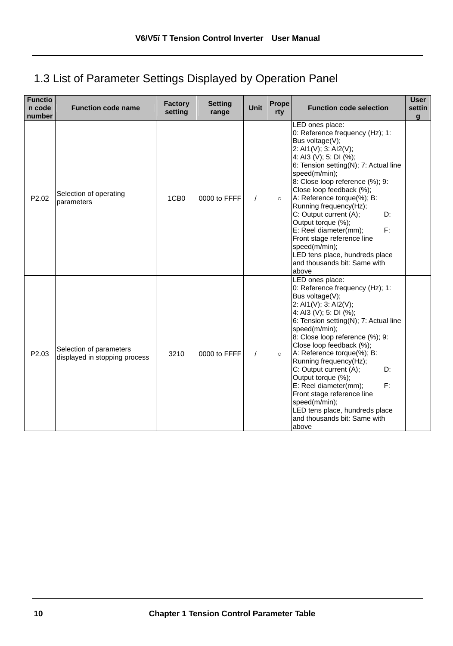## 1.3 List of Parameter Settings Displayed by Operation Panel

| <b>Functio</b><br>n code<br>number | <b>Function code name</b>                                | Factory<br>setting | <b>Setting</b><br>range | Unit     | Prope<br>rty | <b>Function code selection</b>                                                                                                                                                                                                                                                                                                                                                                                                                                                                                           | <b>User</b><br>settin<br>$\alpha$ |
|------------------------------------|----------------------------------------------------------|--------------------|-------------------------|----------|--------------|--------------------------------------------------------------------------------------------------------------------------------------------------------------------------------------------------------------------------------------------------------------------------------------------------------------------------------------------------------------------------------------------------------------------------------------------------------------------------------------------------------------------------|-----------------------------------|
| P <sub>2.02</sub>                  | Selection of operating<br>parameters                     | 1CB <sub>0</sub>   | 0000 to FFFF            | $\prime$ | $\circ$      | LED ones place:<br>0: Reference frequency (Hz); 1:<br>Bus voltage(V);<br>2: AI1(V); 3: AI2(V);<br>4: Al3 (V); 5: DI (%);<br>6: Tension setting(N); 7: Actual line<br>speed(m/min);<br>8: Close loop reference (%); 9:<br>Close loop feedback (%);<br>A: Reference torque(%); B:<br>Running frequency(Hz);<br>C: Output current (A);<br>D:<br>Output torque (%);<br>E: Reel diameter(mm);<br>F:<br>Front stage reference line<br>speed(m/min);<br>LED tens place, hundreds place<br>and thousands bit: Same with<br>above |                                   |
| P2.03                              | Selection of parameters<br>displayed in stopping process | 3210               | 0000 to FFFF            | $\prime$ | $\circ$      | LED ones place:<br>0: Reference frequency (Hz); 1:<br>Bus voltage(V);<br>2: AI1(V); 3: AI2(V);<br>4: AI3 (V); 5: DI (%);<br>6: Tension setting(N); 7: Actual line<br>speed(m/min);<br>8: Close loop reference (%); 9:<br>Close loop feedback (%);<br>A: Reference torque(%); B:<br>Running frequency(Hz);<br>C: Output current (A);<br>D:<br>Output torque (%);<br>E: Reel diameter(mm);<br>E:<br>Front stage reference line<br>speed(m/min);<br>LED tens place, hundreds place<br>and thousands bit: Same with<br>above |                                   |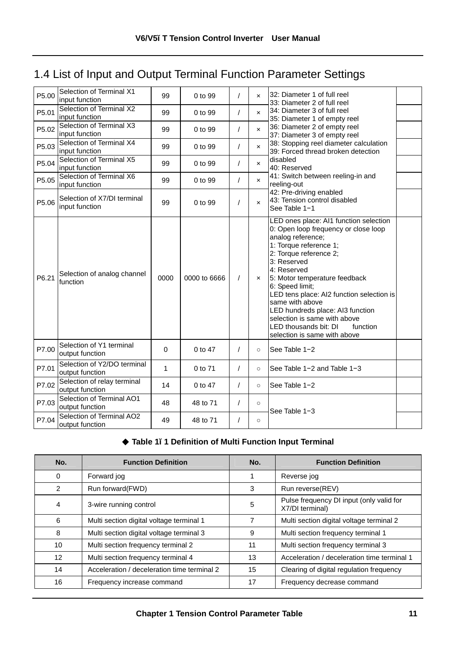## 1.4 List of Input and Output Terminal Function Parameter Settings

| P5.00             | Selection of Terminal X1<br>input function     | 99       | 0 to 99      | 1        | $\boldsymbol{\mathsf{x}}$ | 32: Diameter 1 of full reel<br>33: Diameter 2 of full reel                                                                                                                                                                                                                                                                                                                                                                                         |  |
|-------------------|------------------------------------------------|----------|--------------|----------|---------------------------|----------------------------------------------------------------------------------------------------------------------------------------------------------------------------------------------------------------------------------------------------------------------------------------------------------------------------------------------------------------------------------------------------------------------------------------------------|--|
| P5.01             | Selection of Terminal X2<br>input function     | 99       | $0$ to 99    | $\prime$ | $\mathbf{x}$              | 34: Diameter 3 of full reel<br>35: Diameter 1 of empty reel                                                                                                                                                                                                                                                                                                                                                                                        |  |
| P5.02             | Selection of Terminal X3<br>input function     | 99       | 0 to 99      | $\prime$ | $\mathbf{x}$              | 36: Diameter 2 of empty reel<br>37: Diameter 3 of empty reel                                                                                                                                                                                                                                                                                                                                                                                       |  |
| P5.03             | Selection of Terminal X4<br>input function     | 99       | 0 to 99      | $\prime$ | $\boldsymbol{\mathsf{x}}$ | 38: Stopping reel diameter calculation<br>39: Forced thread broken detection                                                                                                                                                                                                                                                                                                                                                                       |  |
| P5.04             | Selection of Terminal X5<br>input function     | 99       | $0$ to 99    | $\prime$ | $\times$                  | disabled<br>40: Reserved                                                                                                                                                                                                                                                                                                                                                                                                                           |  |
| P5.05             | Selection of Terminal X6<br>input function     | 99       | 0 to 99      | $\prime$ | $\times$                  | 41: Switch between reeling-in and<br>reeling-out                                                                                                                                                                                                                                                                                                                                                                                                   |  |
| P <sub>5.06</sub> | Selection of X7/DI terminal<br>input function  | 99       | $0$ to $99$  | $\prime$ | $\mathbf{x}$              | 42: Pre-driving enabled<br>43: Tension control disabled<br>See Table 1-1                                                                                                                                                                                                                                                                                                                                                                           |  |
| P6.21             | Selection of analog channel<br>function        | 0000     | 0000 to 6666 | $\prime$ | $\mathbf{x}$              | LED ones place: AI1 function selection<br>0: Open loop frequency or close loop<br>analog reference;<br>1: Torque reference 1;<br>2: Torque reference 2;<br>3: Reserved<br>4: Reserved<br>5: Motor temperature feedback<br>6: Speed limit;<br>LED tens place: AI2 function selection is<br>same with above<br>LED hundreds place: AI3 function<br>selection is same with above<br>LED thousands bit: DI<br>function<br>selection is same with above |  |
| P7.00             | Selection of Y1 terminal<br>output function    | $\Omega$ | 0 to 47      | 1        | $\circ$                   | See Table 1-2                                                                                                                                                                                                                                                                                                                                                                                                                                      |  |
| P7.01             | Selection of Y2/DO terminal<br>output function | 1        | 0 to 71      | $\prime$ | $\circ$                   | See Table 1-2 and Table 1-3                                                                                                                                                                                                                                                                                                                                                                                                                        |  |
| P7.02             | Selection of relay terminal<br>output function | 14       | 0 to 47      | 1        | $\circ$                   | See Table 1-2                                                                                                                                                                                                                                                                                                                                                                                                                                      |  |
| P7.03             | Selection of Terminal AO1<br>output function   | 48       | 48 to 71     | $\prime$ | $\circ$                   | See Table 1-3                                                                                                                                                                                                                                                                                                                                                                                                                                      |  |
| P7.04             | Selection of Terminal AO2<br>output function   | 49       | 48 to 71     | 1        | $\circ$                   |                                                                                                                                                                                                                                                                                                                                                                                                                                                    |  |

## ◆ **Table 1−1 Definition of Multi Function Input Terminal**

| No.             | <b>Function Definition</b>                  | No. | <b>Function Definition</b>                                  |
|-----------------|---------------------------------------------|-----|-------------------------------------------------------------|
| $\Omega$        | Forward jog                                 |     | Reverse jog                                                 |
| 2               | Run forward(FWD)                            | 3   | Run reverse(REV)                                            |
| 4               | 3-wire running control                      | 5   | Pulse frequency DI input (only valid for<br>X7/DI terminal) |
| 6               | Multi section digital voltage terminal 1    |     | Multi section digital voltage terminal 2                    |
| 8               | Multi section digital voltage terminal 3    | 9   | Multi section frequency terminal 1                          |
| 10 <sup>1</sup> | Multi section frequency terminal 2          | 11  | Multi section frequency terminal 3                          |
| 12              | Multi section frequency terminal 4          | 13  | Acceleration / deceleration time terminal 1                 |
| 14              | Acceleration / deceleration time terminal 2 | 15  | Clearing of digital regulation frequency                    |
| 16              | Frequency increase command                  | 17  | Frequency decrease command                                  |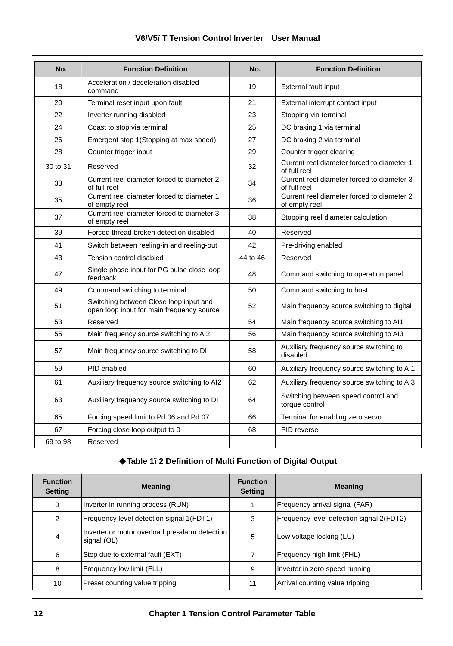| No.      | <b>Function Definition</b>                                                          | No.      | <b>Function Definition</b>                                  |
|----------|-------------------------------------------------------------------------------------|----------|-------------------------------------------------------------|
| 18       | Acceleration / deceleration disabled<br>command                                     | 19       | <b>External fault input</b>                                 |
| 20       | Terminal reset input upon fault                                                     | 21       | External interrupt contact input                            |
| 22       | Inverter running disabled                                                           | 23       | Stopping via terminal                                       |
| 24       | Coast to stop via terminal                                                          | 25       | DC braking 1 via terminal                                   |
| 26       | Emergent stop 1(Stopping at max speed)                                              | 27       | DC braking 2 via terminal                                   |
| 28       | Counter trigger input                                                               | 29       | Counter trigger clearing                                    |
| 30 to 31 | Reserved                                                                            | 32       | Current reel diameter forced to diameter 1<br>of full reel  |
| 33       | Current reel diameter forced to diameter 2<br>of full reel                          | 34       | Current reel diameter forced to diameter 3<br>of full reel  |
| 35       | Current reel diameter forced to diameter 1<br>of empty reel                         | 36       | Current reel diameter forced to diameter 2<br>of empty reel |
| 37       | Current reel diameter forced to diameter 3<br>of empty reel                         | 38       | Stopping reel diameter calculation                          |
| 39       | Forced thread broken detection disabled                                             | 40       | Reserved                                                    |
| 41       | Switch between reeling-in and reeling-out                                           | 42       | Pre-driving enabled                                         |
| 43       | Tension control disabled                                                            | 44 to 46 | Reserved                                                    |
| 47       | Single phase input for PG pulse close loop<br>feedback                              | 48       | Command switching to operation panel                        |
| 49       | Command switching to terminal                                                       | 50       | Command switching to host                                   |
| 51       | Switching between Close loop input and<br>open loop input for main frequency source | 52       | Main frequency source switching to digital                  |
| 53       | Reserved                                                                            | 54       | Main frequency source switching to Al1                      |
| 55       | Main frequency source switching to AI2                                              | 56       | Main frequency source switching to AI3                      |
| 57       | Main frequency source switching to DI                                               | 58       | Auxiliary frequency source switching to<br>disabled         |
| 59       | PID enabled                                                                         | 60       | Auxiliary frequency source switching to Al1                 |
| 61       | Auxiliary frequency source switching to AI2                                         | 62       | Auxiliary frequency source switching to AI3                 |
| 63       | Auxiliary frequency source switching to DI                                          | 64       | Switching between speed control and<br>torque control       |
| 65       | Forcing speed limit to Pd.06 and Pd.07                                              | 66       | Terminal for enabling zero servo                            |
| 67       | Forcing close loop output to 0                                                      | 68       | PID reverse                                                 |
| 69 to 98 | Reserved                                                                            |          |                                                             |

## **V6/V5−T Tension Control Inverter User Manual**

## ◆**Table 1−2 Definition of Multi Function of Digital Output**

| <b>Function</b><br><b>Setting</b> | <b>Meaning</b>                                                | <b>Function</b><br><b>Setting</b> | <b>Meaning</b>                           |
|-----------------------------------|---------------------------------------------------------------|-----------------------------------|------------------------------------------|
| 0                                 | Inverter in running process (RUN)                             |                                   | Frequency arrival signal (FAR)           |
| 2                                 | Frequency level detection signal 1(FDT1)                      | 3                                 | Frequency level detection signal 2(FDT2) |
| $\overline{4}$                    | Inverter or motor overload pre-alarm detection<br>signal (OL) | 5                                 | Low voltage locking (LU)                 |
| 6                                 | Stop due to external fault (EXT)                              |                                   | Frequency high limit (FHL)               |
| 8                                 | Frequency low limit (FLL)                                     | 9                                 | Inverter in zero speed running           |
| 10                                | Preset counting value tripping                                | 11                                | Arrival counting value tripping          |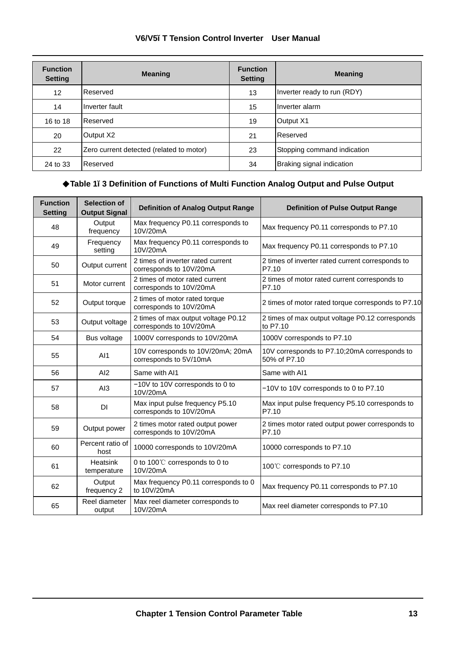| V6/V5-T Tension Control Inverter User Manual |  |  |  |
|----------------------------------------------|--|--|--|
|                                              |  |  |  |

| <b>Function</b><br><b>Setting</b> | <b>Meaning</b>                           | <b>Function</b><br><b>Setting</b> | <b>Meaning</b>              |
|-----------------------------------|------------------------------------------|-----------------------------------|-----------------------------|
| 12                                | Reserved                                 | 13                                | Inverter ready to run (RDY) |
| 14                                | Inverter fault                           | 15                                | Inverter alarm              |
| 16 to 18                          | Reserved                                 | 19                                | Output X1                   |
| 20                                | Output X2                                | 21                                | Reserved                    |
| 22                                | Zero current detected (related to motor) | 23                                | Stopping command indication |
| 24 to 33                          | Reserved                                 | 34                                | Braking signal indication   |

## ◆**Table 1−3 Definition of Functions of Multi Function Analog Output and Pulse Output**

| <b>Function</b><br>Setting | Selection of<br><b>Output Signal</b> | <b>Definition of Analog Output Range</b>                       | <b>Definition of Pulse Output Range</b>                      |
|----------------------------|--------------------------------------|----------------------------------------------------------------|--------------------------------------------------------------|
| 48                         | Output<br>frequency                  | Max frequency P0.11 corresponds to<br>10V/20mA                 | Max frequency P0.11 corresponds to P7.10                     |
| 49                         | Frequency<br>setting                 | Max frequency P0.11 corresponds to<br>10V/20mA                 | Max frequency P0.11 corresponds to P7.10                     |
| 50                         | Output current                       | 2 times of inverter rated current<br>corresponds to 10V/20mA   | 2 times of inverter rated current corresponds to<br>P7.10    |
| 51                         | Motor current                        | 2 times of motor rated current<br>corresponds to 10V/20mA      | 2 times of motor rated current corresponds to<br>P7.10       |
| 52                         | Output torque                        | 2 times of motor rated torque<br>corresponds to 10V/20mA       | 2 times of motor rated torque corresponds to P7.10           |
| 53                         | Output voltage                       | 2 times of max output voltage P0.12<br>corresponds to 10V/20mA | 2 times of max output voltage P0.12 corresponds<br>to P7.10  |
| 54                         | Bus voltage                          | 1000V corresponds to 10V/20mA                                  | 1000V corresponds to P7.10                                   |
| 55                         | AI1                                  | 10V corresponds to 10V/20mA; 20mA<br>corresponds to 5V/10mA    | 10V corresponds to P7.10;20mA corresponds to<br>50% of P7.10 |
| 56                         | AI2                                  | Same with Al1                                                  | Same with Al1                                                |
| 57                         | AI3                                  | -10V to 10V corresponds to 0 to<br>10V/20mA                    | -10V to 10V corresponds to 0 to P7.10                        |
| 58                         | <b>DI</b>                            | Max input pulse frequency P5.10<br>corresponds to 10V/20mA     | Max input pulse frequency P5.10 corresponds to<br>P7.10      |
| 59                         | Output power                         | 2 times motor rated output power<br>corresponds to 10V/20mA    | 2 times motor rated output power corresponds to<br>P7.10     |
| 60                         | Percent ratio of<br>host             | 10000 corresponds to 10V/20mA                                  | 10000 corresponds to P7.10                                   |
| 61                         | Heatsink<br>temperature              | 0 to 100°C corresponds to 0 to<br>10V/20mA                     | 100℃ corresponds to P7.10                                    |
| 62                         | Output<br>frequency 2                | Max frequency P0.11 corresponds to 0<br>to 10V/20mA            | Max frequency P0.11 corresponds to P7.10                     |
| 65                         | Reel diameter<br>output              | Max reel diameter corresponds to<br>10V/20mA                   | Max reel diameter corresponds to P7.10                       |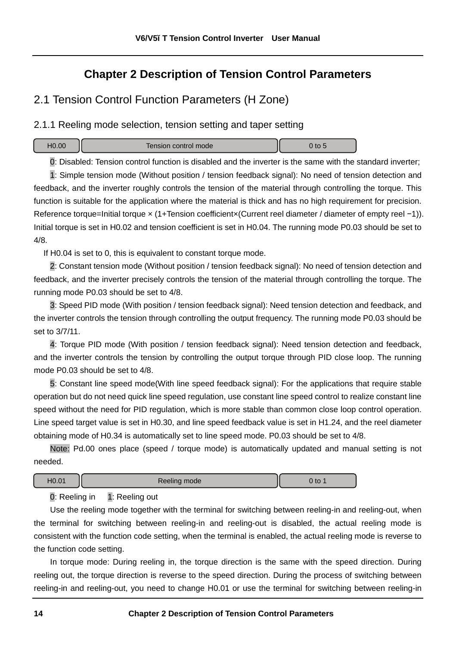## **Chapter 2 Description of Tension Control Parameters**

## 2.1 Tension Control Function Parameters (H Zone)

2.1.1 Reeling mode selection, tension setting and taper setting

| Tension control mode | $\mathcal{L}$ to $\mathcal{L}$ |
|----------------------|--------------------------------|
|                      |                                |

0: Disabled: Tension control function is disabled and the inverter is the same with the standard inverter;

1: Simple tension mode (Without position / tension feedback signal): No need of tension detection and feedback, and the inverter roughly controls the tension of the material through controlling the torque. This function is suitable for the application where the material is thick and has no high requirement for precision. Reference torque=Initial torque × (1+Tension coefficient×(Current reel diameter / diameter of empty reel −1)). Initial torque is set in H0.02 and tension coefficient is set in H0.04. The running mode P0.03 should be set to 4/8.

If H0.04 is set to 0, this is equivalent to constant torque mode.

2: Constant tension mode (Without position / tension feedback signal): No need of tension detection and feedback, and the inverter precisely controls the tension of the material through controlling the torque. The running mode P0.03 should be set to 4/8.

3: Speed PID mode (With position / tension feedback signal): Need tension detection and feedback, and the inverter controls the tension through controlling the output frequency. The running mode P0.03 should be set to 3/7/11.

4: Torque PID mode (With position / tension feedback signal): Need tension detection and feedback, and the inverter controls the tension by controlling the output torque through PID close loop. The running mode P0.03 should be set to 4/8.

5: Constant line speed mode(With line speed feedback signal): For the applications that require stable operation but do not need quick line speed regulation, use constant line speed control to realize constant line speed without the need for PID regulation, which is more stable than common close loop control operation. Line speed target value is set in H0.30, and line speed feedback value is set in H1.24, and the reel diameter obtaining mode of H0.34 is automatically set to line speed mode. P0.03 should be set to 4/8.

Note: Pd.00 ones place (speed / torque mode) is automatically updated and manual setting is not needed.

| 301<br>HU.O | Reeling mode | to |
|-------------|--------------|----|
|             |              |    |

0: Reeling in 1: Reeling out

Use the reeling mode together with the terminal for switching between reeling-in and reeling-out, when the terminal for switching between reeling-in and reeling-out is disabled, the actual reeling mode is consistent with the function code setting, when the terminal is enabled, the actual reeling mode is reverse to the function code setting.

In torque mode: During reeling in, the torque direction is the same with the speed direction. During reeling out, the torque direction is reverse to the speed direction. During the process of switching between reeling-in and reeling-out, you need to change H0.01 or use the terminal for switching between reeling-in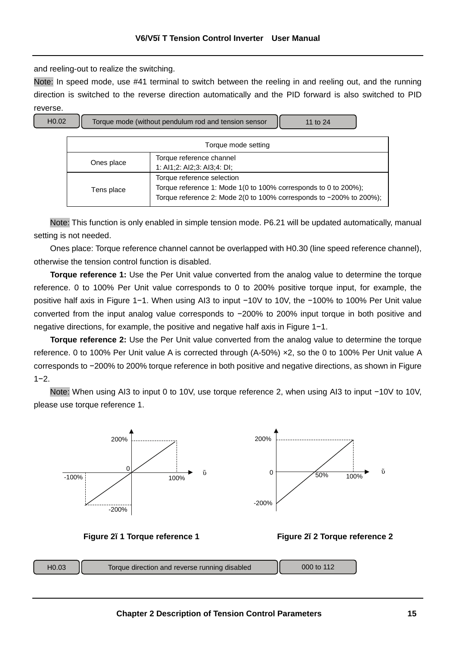and reeling-out to realize the switching.

Note: In speed mode, use #41 terminal to switch between the reeling in and reeling out, and the running direction is switched to the reverse direction automatically and the PID forward is also switched to PID reverse.



Note: This function is only enabled in simple tension mode. P6.21 will be updated automatically, manual setting is not needed.

Ones place: Torque reference channel cannot be overlapped with H0.30 (line speed reference channel), otherwise the tension control function is disabled.

**Torque reference 1:** Use the Per Unit value converted from the analog value to determine the torque reference. 0 to 100% Per Unit value corresponds to 0 to 200% positive torque input, for example, the positive half axis in Figure 1−1. When using AI3 to input −10V to 10V, the −100% to 100% Per Unit value converted from the input analog value corresponds to −200% to 200% input torque in both positive and negative directions, for example, the positive and negative half axis in Figure 1−1.

**Torque reference 2:** Use the Per Unit value converted from the analog value to determine the torque reference. 0 to 100% Per Unit value A is corrected through (A-50%) ×2, so the 0 to 100% Per Unit value A corresponds to −200% to 200% torque reference in both positive and negative directions, as shown in Figure 1−2.

Note: When using AI3 to input 0 to 10V, use torque reference 2, when using AI3 to input −10V to 10V, please use torque reference 1.





**Figure 2−1 Torque reference 1 Figure 2−2 Torque reference 2** 

|  | $-10.03$ | Torque direction and reverse running disabled | 000 to 112 |  |
|--|----------|-----------------------------------------------|------------|--|
|--|----------|-----------------------------------------------|------------|--|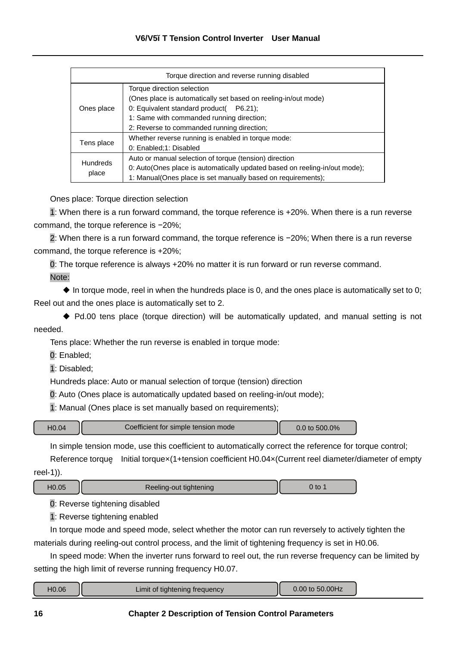| Torque direction and reverse running disabled |                                                                                                                                                                                                                                    |  |
|-----------------------------------------------|------------------------------------------------------------------------------------------------------------------------------------------------------------------------------------------------------------------------------------|--|
| Ones place                                    | Torque direction selection<br>(Ones place is automatically set based on reeling-in/out mode)<br>0: Equivalent standard product( P6.21);<br>1: Same with commanded running direction;<br>2: Reverse to commanded running direction; |  |
| Tens place                                    | Whether reverse running is enabled in torque mode:<br>0: Enabled;1: Disabled                                                                                                                                                       |  |
| <b>Hundreds</b><br>place                      | Auto or manual selection of torque (tension) direction<br>0: Auto(Ones place is automatically updated based on reeling-in/out mode);<br>1: Manual(Ones place is set manually based on requirements);                               |  |

Ones place: Torque direction selection

1: When there is a run forward command, the torque reference is +20%. When there is a run reverse command, the torque reference is −20%;

2: When there is a run forward command, the torque reference is −20%; When there is a run reverse command, the torque reference is +20%;

0: The torque reference is always +20% no matter it is run forward or run reverse command.

Note:

 $\triangleq$  In torque mode, reel in when the hundreds place is 0, and the ones place is automatically set to 0; Reel out and the ones place is automatically set to 2.

◆ Pd.00 tens place (torque direction) will be automatically updated, and manual setting is not needed.

Tens place: Whether the run reverse is enabled in torque mode:

0: Enabled;

1: Disabled;

Hundreds place: Auto or manual selection of torque (tension) direction

0: Auto (Ones place is automatically updated based on reeling-in/out mode);

1: Manual (Ones place is set manually based on requirements);

| Coefficient for simple tension mode<br>40.04 | 500.0%<br>$10$ |  |
|----------------------------------------------|----------------|--|
|----------------------------------------------|----------------|--|

In simple tension mode, use this coefficient to automatically correct the reference for torque control;

Reference torque Initial torquex(1+tension coefficient H0.04x(Current reel diameter/diameter of empty reel-1)).

| H <sub>0.05</sub> | Reeling-out tightening | 0 to |
|-------------------|------------------------|------|
|-------------------|------------------------|------|

0: Reverse tightening disabled

1: Reverse tightening enabled

In torque mode and speed mode, select whether the motor can run reversely to actively tighten the materials during reeling-out control process, and the limit of tightening frequency is set in H0.06.

In speed mode: When the inverter runs forward to reel out, the run reverse frequency can be limited by setting the high limit of reverse running frequency H0.07.

| 0.00 to 50.00Hz<br>$-0.06$<br>Limit of tightening frequency |
|-------------------------------------------------------------|
|-------------------------------------------------------------|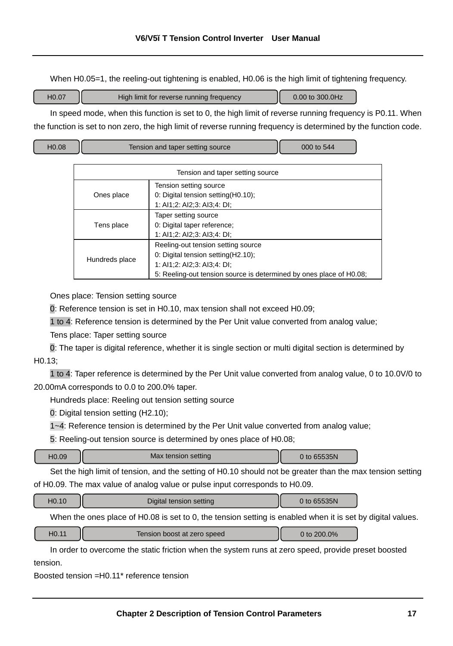When H0.05=1, the reeling-out tightening is enabled, H0.06 is the high limit of tightening frequency.

| H <sub>0.0</sub> 7<br>0.00 to 300.0Hz<br>High limit for reverse running frequency |
|-----------------------------------------------------------------------------------|
|-----------------------------------------------------------------------------------|

In speed mode, when this function is set to 0, the high limit of reverse running frequency is P0.11. When the function is set to non zero, the high limit of reverse running frequency is determined by the function code.

| H <sub>0.08</sub> | Tension and taper setting source | 000 to 544 |  |
|-------------------|----------------------------------|------------|--|
|-------------------|----------------------------------|------------|--|

| Tension and taper setting source |                                                                                                                                                                                |  |
|----------------------------------|--------------------------------------------------------------------------------------------------------------------------------------------------------------------------------|--|
| Ones place                       | Tension setting source<br>0: Digital tension setting(H0.10);<br>1: Al1;2: Al2;3: Al3;4: DI;                                                                                    |  |
| Tens place                       | Taper setting source<br>0: Digital taper reference;<br>1: Al1;2: Al2;3: Al3;4: DI;                                                                                             |  |
| Hundreds place                   | Reeling-out tension setting source<br>0: Digital tension setting(H2.10);<br>1: Al1;2: Al2;3: Al3;4: DI;<br>5: Reeling-out tension source is determined by ones place of H0.08; |  |

Ones place: Tension setting source

0: Reference tension is set in H0.10, max tension shall not exceed H0.09;

1 to 4: Reference tension is determined by the Per Unit value converted from analog value;

Tens place: Taper setting source

0: The taper is digital reference, whether it is single section or multi digital section is determined by  $H<sub>0</sub>$  13 $\cdot$ 

1 to 4: Taper reference is determined by the Per Unit value converted from analog value, 0 to 10.0V/0 to 20.00mA corresponds to 0.0 to 200.0% taper.

Hundreds place: Reeling out tension setting source

0: Digital tension setting (H2.10);

1~4: Reference tension is determined by the Per Unit value converted from analog value;

5: Reeling-out tension source is determined by ones place of H0.08;

| H <sub>0.09</sub><br><b>EOFM</b><br>Max tension setting<br>65535N |
|-------------------------------------------------------------------|
|-------------------------------------------------------------------|

Set the high limit of tension, and the setting of H0.10 should not be greater than the max tension setting of H0.09. The max value of analog value or pulse input corresponds to H0.09.

| 10.10 | Digital tension setting | 0 to 65535N |  |
|-------|-------------------------|-------------|--|
|       |                         |             |  |

When the ones place of H0.08 is set to 0, the tension setting is enabled when it is set by digital values.

| $-10.11$<br>0.0%<br>Tension boost at zero speed |
|-------------------------------------------------|
|-------------------------------------------------|

In order to overcome the static friction when the system runs at zero speed, provide preset boosted tension.

Boosted tension =H0.11\* reference tension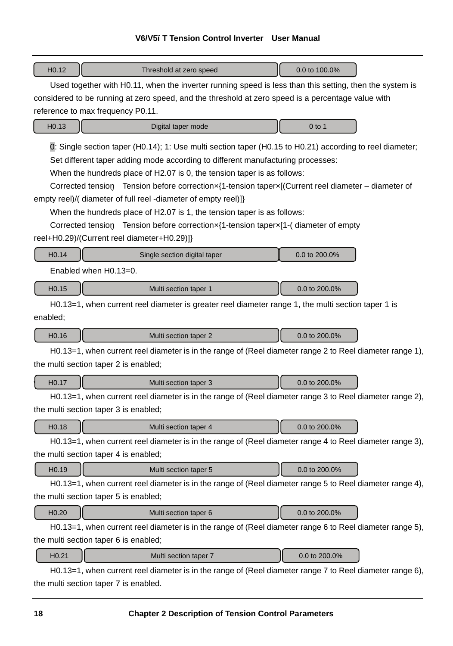## **V6/V5−T Tension Control Inverter User Manual**

| H <sub>0.12</sub><br>Threshold at zero speed                                                                                                                                                                                                                                                                                                                                                                                                  | 0.0 to 100.0% |  |  |
|-----------------------------------------------------------------------------------------------------------------------------------------------------------------------------------------------------------------------------------------------------------------------------------------------------------------------------------------------------------------------------------------------------------------------------------------------|---------------|--|--|
| Used together with H0.11, when the inverter running speed is less than this setting, then the system is                                                                                                                                                                                                                                                                                                                                       |               |  |  |
| considered to be running at zero speed, and the threshold at zero speed is a percentage value with                                                                                                                                                                                                                                                                                                                                            |               |  |  |
| reference to max frequency P0.11.                                                                                                                                                                                                                                                                                                                                                                                                             |               |  |  |
| H <sub>0.13</sub><br>Digital taper mode                                                                                                                                                                                                                                                                                                                                                                                                       | $0$ to 1      |  |  |
| 0: Single section taper (H0.14); 1: Use multi section taper (H0.15 to H0.21) according to reel diameter;<br>Set different taper adding mode according to different manufacturing processes:<br>When the hundreds place of H2.07 is 0, the tension taper is as follows:<br>Corrected tension Tension before correctionx{1-tension taperx[(Current reel diameter – diameter of<br>empty reel)/(diameter of full reel -diameter of empty reel)]} |               |  |  |
| When the hundreds place of H2.07 is 1, the tension taper is as follows:<br>Corrected tension Tension before correctionx{1-tension taperx[1-(diameter of empty                                                                                                                                                                                                                                                                                 |               |  |  |
| reel+H0.29)/(Current reel diameter+H0.29)]}                                                                                                                                                                                                                                                                                                                                                                                                   |               |  |  |
| H <sub>0.14</sub><br>Single section digital taper                                                                                                                                                                                                                                                                                                                                                                                             | 0.0 to 200.0% |  |  |
|                                                                                                                                                                                                                                                                                                                                                                                                                                               |               |  |  |
| Enabled when H0.13=0.                                                                                                                                                                                                                                                                                                                                                                                                                         |               |  |  |
| H <sub>0.15</sub><br>Multi section taper 1                                                                                                                                                                                                                                                                                                                                                                                                    | 0.0 to 200.0% |  |  |
| H0.13=1, when current reel diameter is greater reel diameter range 1, the multi section taper 1 is                                                                                                                                                                                                                                                                                                                                            |               |  |  |
| enabled;                                                                                                                                                                                                                                                                                                                                                                                                                                      |               |  |  |
| H <sub>0.16</sub><br>Multi section taper 2                                                                                                                                                                                                                                                                                                                                                                                                    | 0.0 to 200.0% |  |  |
| H0.13=1, when current reel diameter is in the range of (Reel diameter range 2 to Reel diameter range 1),<br>the multi section taper 2 is enabled;                                                                                                                                                                                                                                                                                             |               |  |  |
| H <sub>0.17</sub><br>Multi section taper 3                                                                                                                                                                                                                                                                                                                                                                                                    | 0.0 to 200.0% |  |  |
| H0.13=1, when current reel diameter is in the range of (Reel diameter range 3 to Reel diameter range 2),                                                                                                                                                                                                                                                                                                                                      |               |  |  |
| the multi section taper 3 is enabled;                                                                                                                                                                                                                                                                                                                                                                                                         |               |  |  |
| H <sub>0.18</sub><br>Multi section taper 4                                                                                                                                                                                                                                                                                                                                                                                                    | 0.0 to 200.0% |  |  |
| H0.13=1, when current reel diameter is in the range of (Reel diameter range 4 to Reel diameter range 3),                                                                                                                                                                                                                                                                                                                                      |               |  |  |
| the multi section taper 4 is enabled;                                                                                                                                                                                                                                                                                                                                                                                                         |               |  |  |
| H <sub>0.19</sub><br>Multi section taper 5                                                                                                                                                                                                                                                                                                                                                                                                    | 0.0 to 200.0% |  |  |
| H0.13=1, when current reel diameter is in the range of (Reel diameter range 5 to Reel diameter range 4),                                                                                                                                                                                                                                                                                                                                      |               |  |  |
| the multi section taper 5 is enabled;                                                                                                                                                                                                                                                                                                                                                                                                         |               |  |  |
| H <sub>0.20</sub><br>Multi section taper 6                                                                                                                                                                                                                                                                                                                                                                                                    | 0.0 to 200.0% |  |  |
| H0.13=1, when current reel diameter is in the range of (Reel diameter range 6 to Reel diameter range 5),                                                                                                                                                                                                                                                                                                                                      |               |  |  |
| the multi section taper 6 is enabled;                                                                                                                                                                                                                                                                                                                                                                                                         |               |  |  |
| H <sub>0.21</sub><br>Multi section taper 7                                                                                                                                                                                                                                                                                                                                                                                                    | 0.0 to 200.0% |  |  |
| H0.13=1, when current reel diameter is in the range of (Reel diameter range 7 to Reel diameter range 6),                                                                                                                                                                                                                                                                                                                                      |               |  |  |
| the multi section taper 7 is enabled.                                                                                                                                                                                                                                                                                                                                                                                                         |               |  |  |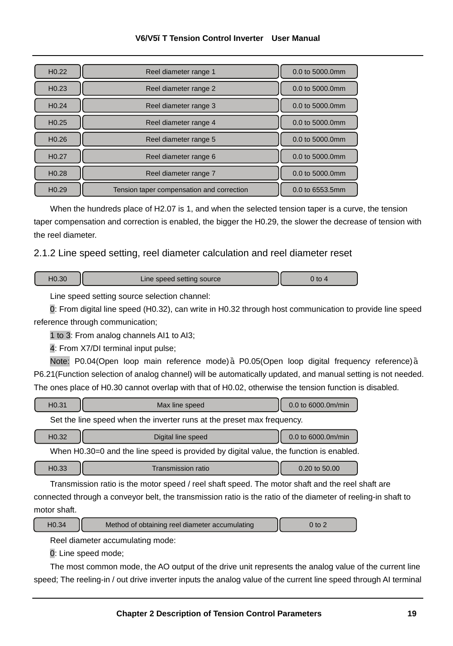| H <sub>0.22</sub> | Reel diameter range 1                     | 0.0 to 5000.0mm |
|-------------------|-------------------------------------------|-----------------|
| H <sub>0.23</sub> | Reel diameter range 2                     | 0.0 to 5000.0mm |
| H <sub>0.24</sub> | Reel diameter range 3                     | 0.0 to 5000.0mm |
| H <sub>0.25</sub> | Reel diameter range 4                     | 0.0 to 5000.0mm |
| H <sub>0.26</sub> | Reel diameter range 5                     | 0.0 to 5000.0mm |
| H <sub>0.27</sub> | Reel diameter range 6                     | 0.0 to 5000.0mm |
| H <sub>0.28</sub> | Reel diameter range 7                     | 0.0 to 5000.0mm |
| H <sub>0.29</sub> | Tension taper compensation and correction | 0.0 to 6553.5mm |

#### **V6/V5−T Tension Control Inverter User Manual**

When the hundreds place of H2.07 is 1, and when the selected tension taper is a curve, the tension taper compensation and correction is enabled, the bigger the H0.29, the slower the decrease of tension with the reel diameter.

## 2.1.2 Line speed setting, reel diameter calculation and reel diameter reset

| 10.30 | Line speed setting source | ) to |
|-------|---------------------------|------|
|-------|---------------------------|------|

Line speed setting source selection channel:

0: From digital line speed (H0.32), can write in H0.32 through host communication to provide line speed reference through communication;

1 to 3: From analog channels AI1 to AI3;

4: From X7/DI terminal input pulse;

Note: P0.04(Open loop main reference mode) P0.05(Open loop digital frequency reference) P6.21(Function selection of analog channel) will be automatically updated, and manual setting is not needed. The ones place of H0.30 cannot overlap with that of H0.02, otherwise the tension function is disabled.

| H <sub>0.31</sub> | Max line speed                                                                         | 0.0 to 6000.0m/min |
|-------------------|----------------------------------------------------------------------------------------|--------------------|
|                   | Set the line speed when the inverter runs at the preset max frequency.                 |                    |
| H <sub>0.32</sub> | Digital line speed                                                                     | 0.0 to 6000.0m/min |
|                   | When H0.30=0 and the line speed is provided by digital value, the function is enabled. |                    |
| H <sub>0.33</sub> | <b>Transmission ratio</b>                                                              | 0.20 to 50.00      |

Transmission ratio is the motor speed / reel shaft speed. The motor shaft and the reel shaft are connected through a conveyor belt, the transmission ratio is the ratio of the diameter of reeling-in shaft to motor shaft.

| 10.34<br>Method of obtaining reel diameter accumulating | $\gamma$ to . |
|---------------------------------------------------------|---------------|
|---------------------------------------------------------|---------------|

Reel diameter accumulating mode:

0: Line speed mode;

The most common mode, the AO output of the drive unit represents the analog value of the current line speed; The reeling-in / out drive inverter inputs the analog value of the current line speed through AI terminal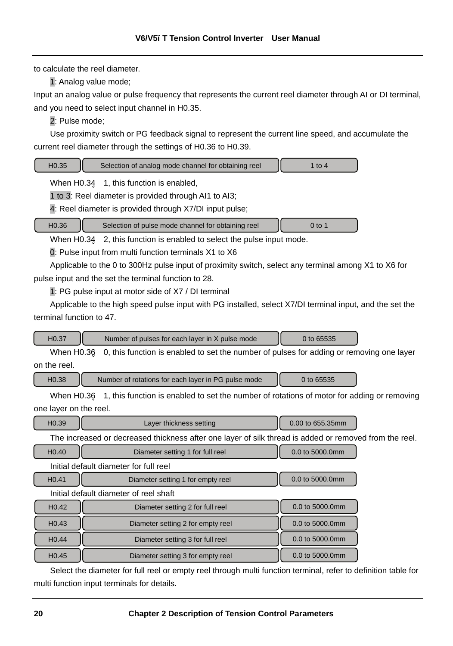to calculate the reel diameter.

1: Analog value mode;

Input an analog value or pulse frequency that represents the current reel diameter through AI or DI terminal, and you need to select input channel in H0.35.

2: Pulse mode;

Use proximity switch or PG feedback signal to represent the current line speed, and accumulate the current reel diameter through the settings of H0.36 to H0.39.

| H <sub>0.35</sub> | Selection of analog mode channel for obtaining reel | 1 to 4 |
|-------------------|-----------------------------------------------------|--------|
|                   | When H0.34 1, this function is enabled,             |        |
|                   |                                                     |        |

1 to 3: Reel diameter is provided through AI1 to AI3;

4: Reel diameter is provided through X7/DI input pulse;

| H <sub>0.36</sub> |  | Selection of pulse mode channel for obtaining reel | 0 to 1 |
|-------------------|--|----------------------------------------------------|--------|
|-------------------|--|----------------------------------------------------|--------|

When H0.34 2, this function is enabled to select the pulse input mode.

0: Pulse input from multi function terminals X1 to X6

Applicable to the 0 to 300Hz pulse input of proximity switch, select any terminal among X1 to X6 for pulse input and the set the terminal function to 28.

1: PG pulse input at motor side of X7 / DI terminal

Applicable to the high speed pulse input with PG installed, select X7/DI terminal input, and the set the terminal function to 47.

| 40.37<br>0 to 65535<br>Number of pulses for each layer in X pulse mode |  |
|------------------------------------------------------------------------|--|
|------------------------------------------------------------------------|--|

When H0.36 0, this function is enabled to set the number of pulses for adding or removing one layer on the reel.

H0.38 Number of rotations for each layer in PG pulse mode | 0 to 65535

When H0.36 1, this function is enabled to set the number of rotations of motor for adding or removing one layer on the reel.

| 10.39 | Layer thickness setting |           |  | 0.00 to 655.35mm |  |  |  |
|-------|-------------------------|-----------|--|------------------|--|--|--|
|       |                         | $\cdot$ . |  |                  |  |  |  |

The increased or decreased thickness after one layer of silk thread is added or removed from the reel.

| H <sub>0.40</sub> | Diameter setting 1 for full reel       | 0.0 to 5000.0mm |
|-------------------|----------------------------------------|-----------------|
|                   | Initial default diameter for full reel |                 |
| H <sub>0.41</sub> | Diameter setting 1 for empty reel      | 0.0 to 5000.0mm |
|                   | Initial default diameter of reel shaft |                 |
| H <sub>0.42</sub> | Diameter setting 2 for full reel       | 0.0 to 5000.0mm |
| H <sub>0.43</sub> | Diameter setting 2 for empty reel      | 0.0 to 5000.0mm |
| H <sub>0.44</sub> | Diameter setting 3 for full reel       | 0.0 to 5000.0mm |
| H <sub>0.45</sub> | Diameter setting 3 for empty reel      | 0.0 to 5000.0mm |

Select the diameter for full reel or empty reel through multi function terminal, refer to definition table for multi function input terminals for details.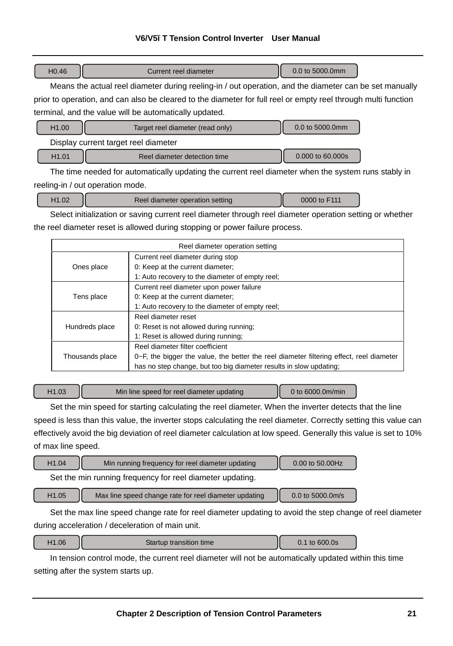# **V6/V5−T Tension Control Inverter User Manual**

| 0.0 to 5000.0mm<br>Current reel diameter | H <sub>0.46</sub> |
|------------------------------------------|-------------------|
|------------------------------------------|-------------------|

Means the actual reel diameter during reeling-in / out operation, and the diameter can be set manually prior to operation, and can also be cleared to the diameter for full reel or empty reel through multi function terminal, and the value will be automatically updated.

| H <sub>1.00</sub>                    | Target reel diameter (read only) | 0.0 to 5000.0mm  |
|--------------------------------------|----------------------------------|------------------|
| Display current target reel diameter |                                  |                  |
| H <sub>1.01</sub>                    | Reel diameter detection time     | 0.000 to 60.000s |

The time needed for automatically updating the current reel diameter when the system runs stably in reeling-in / out operation mode.

| H <sub>1.02</sub><br>Reel diameter operation setting | 0000 to F111 |
|------------------------------------------------------|--------------|
|------------------------------------------------------|--------------|

L

Select initialization or saving current reel diameter through reel diameter operation setting or whether the reel diameter reset is allowed during stopping or power failure process.

|                 | Reel diameter operation setting                                                               |
|-----------------|-----------------------------------------------------------------------------------------------|
|                 | Current reel diameter during stop                                                             |
| Ones place      | 0: Keep at the current diameter;                                                              |
|                 | 1: Auto recovery to the diameter of empty reel;                                               |
|                 | Current reel diameter upon power failure                                                      |
| Tens place      | 0: Keep at the current diameter;                                                              |
|                 | 1: Auto recovery to the diameter of empty reel;                                               |
|                 | Reel diameter reset                                                                           |
| Hundreds place  | 0: Reset is not allowed during running;                                                       |
|                 | 1: Reset is allowed during running;                                                           |
| Thousands place | Reel diameter filter coefficient                                                              |
|                 | $0\nu$ -F, the bigger the value, the better the reel diameter filtering effect, reel diameter |
|                 | has no step change, but too big diameter results in slow updating;                            |

H1.03 | Min line speed for reel diameter updating | 0 to 6000.0m/min

Set the min speed for starting calculating the reel diameter. When the inverter detects that the line speed is less than this value, the inverter stops calculating the reel diameter. Correctly setting this value can effectively avoid the big deviation of reel diameter calculation at low speed. Generally this value is set to 10% of max line speed.

| H <sub>1.04</sub> | Min running frequency for reel diameter updating          | 0.00 to 50.00Hz  |
|-------------------|-----------------------------------------------------------|------------------|
|                   | Set the min running frequency for reel diameter updating. |                  |
| H <sub>1.05</sub> | Max line speed change rate for reel diameter updating     | 0.0 to 5000.0m/s |

Set the max line speed change rate for reel diameter updating to avoid the step change of reel diameter during acceleration / deceleration of main unit.

| H1.06 | Startup transition time | 0.1 to 600.0s |  |
|-------|-------------------------|---------------|--|
|-------|-------------------------|---------------|--|

In tension control mode, the current reel diameter will not be automatically updated within this time setting after the system starts up.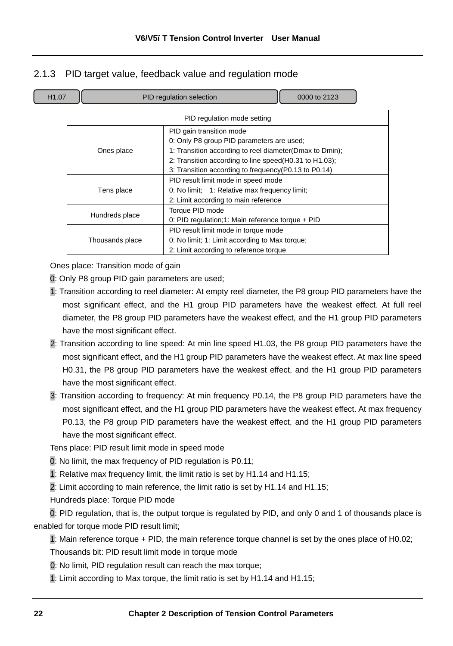## 2.1.3 PID target value, feedback value and regulation mode

|  |  | H1.07 |  |
|--|--|-------|--|

PID regulation selection 2123

|                 | PID regulation mode setting                             |
|-----------------|---------------------------------------------------------|
|                 | PID gain transition mode                                |
|                 | 0: Only P8 group PID parameters are used;               |
| Ones place      | 1: Transition according to reel diameter(Dmax to Dmin); |
|                 | 2: Transition according to line speed(H0.31 to H1.03);  |
|                 | 3: Transition according to frequency (P0.13 to P0.14)   |
|                 | PID result limit mode in speed mode                     |
| Tens place      | 0: No limit; 1: Relative max frequency limit;           |
|                 | 2: Limit according to main reference                    |
|                 | Torque PID mode                                         |
| Hundreds place  | 0: PID regulation;1: Main reference torque + PID        |
|                 | PID result limit mode in torque mode                    |
| Thousands place | 0: No limit; 1: Limit according to Max torque;          |
|                 | 2: Limit according to reference torque                  |

Ones place: Transition mode of gain

0: Only P8 group PID gain parameters are used;

- 1: Transition according to reel diameter: At empty reel diameter, the P8 group PID parameters have the most significant effect, and the H1 group PID parameters have the weakest effect. At full reel diameter, the P8 group PID parameters have the weakest effect, and the H1 group PID parameters have the most significant effect.
- 2: Transition according to line speed: At min line speed H1.03, the P8 group PID parameters have the most significant effect, and the H1 group PID parameters have the weakest effect. At max line speed H0.31, the P8 group PID parameters have the weakest effect, and the H1 group PID parameters have the most significant effect.
- 3: Transition according to frequency: At min frequency P0.14, the P8 group PID parameters have the most significant effect, and the H1 group PID parameters have the weakest effect. At max frequency P0.13, the P8 group PID parameters have the weakest effect, and the H1 group PID parameters have the most significant effect.

Tens place: PID result limit mode in speed mode

0: No limit, the max frequency of PID regulation is P0.11;

1: Relative max frequency limit, the limit ratio is set by H1.14 and H1.15;

2: Limit according to main reference, the limit ratio is set by H1.14 and H1.15;

Hundreds place: Torque PID mode

0: PID regulation, that is, the output torque is regulated by PID, and only 0 and 1 of thousands place is enabled for torque mode PID result limit;

1: Main reference torque + PID, the main reference torque channel is set by the ones place of H0.02;

Thousands bit: PID result limit mode in torque mode

0: No limit, PID regulation result can reach the max torque;

1: Limit according to Max torque, the limit ratio is set by H1.14 and H1.15;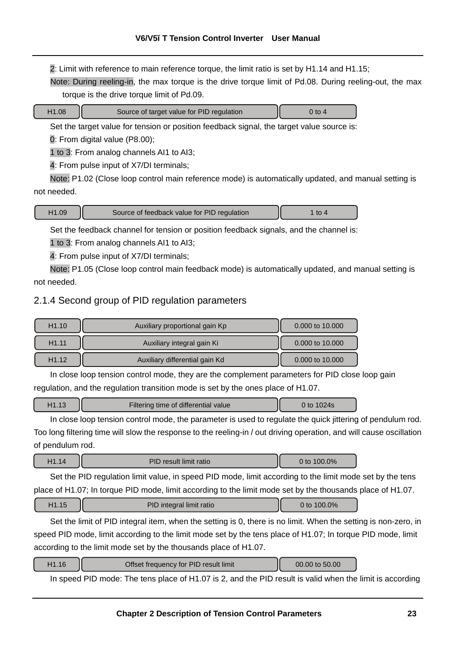2: Limit with reference to main reference torque, the limit ratio is set by H1.14 and H1.15;

Note: During reeling-in, the max torque is the drive torque limit of Pd.08. During reeling-out, the max torque is the drive torque limit of Pd.09.

| $\Omega$<br>H |  |
|---------------|--|

Source of target value for PID regulation  $\vert$  0 to 4

Set the target value for tension or position feedback signal, the target value source is:

0: From digital value (P8.00);

1 to 3: From analog channels AI1 to AI3;

4: From pulse input of X7/DI terminals;

Note: P1.02 (Close loop control main reference mode) is automatically updated, and manual setting is not needed.

## H1.09 **I** Source of feedback value for PID regulation **I** 1 to 4

Set the feedback channel for tension or position feedback signals, and the channel is:

1 to 3: From analog channels AI1 to AI3;

4: From pulse input of X7/DI terminals;

Note: P1.05 (Close loop control main feedback mode) is automatically updated, and manual setting is not needed.

## 2.1.4 Second group of PID regulation parameters

| H1.10             | Auxiliary proportional gain Kp | 0.000 to 10.000 |
|-------------------|--------------------------------|-----------------|
| H <sub>1.11</sub> | Auxiliary integral gain Ki     | 0.000 to 10.000 |
| H <sub>1.12</sub> | Auxiliary differential gain Kd | 0.000 to 10.000 |

In close loop tension control mode, they are the complement parameters for PID close loop gain regulation, and the regulation transition mode is set by the ones place of H1.07.

| H <sub>1.13</sub> | Filtering time of differential value | 0 to 1024s |  |
|-------------------|--------------------------------------|------------|--|
|-------------------|--------------------------------------|------------|--|

In close loop tension control mode, the parameter is used to regulate the quick jittering of pendulum rod. Too long filtering time will slow the response to the reeling-in / out driving operation, and will cause oscillation of pendulum rod.

| H <sub>1</sub><br>H1.14 | <b>PID result limit ratio</b> | 100.0%<br>0 to |  |
|-------------------------|-------------------------------|----------------|--|
|-------------------------|-------------------------------|----------------|--|

Set the PID regulation limit value, in speed PID mode, limit according to the limit mode set by the tens place of H1.07; In torque PID mode, limit according to the limit mode set by the thousands place of H1.07.

| H1.15 | PID integral limit ratio | 0 to 100.0% |  |
|-------|--------------------------|-------------|--|
|-------|--------------------------|-------------|--|

Set the limit of PID integral item, when the setting is 0, there is no limit. When the setting is non-zero, in speed PID mode, limit according to the limit mode set by the tens place of H1.07; In torque PID mode, limit according to the limit mode set by the thousands place of H1.07.

| H1.16<br>Offset frequency for PID result limit | 00.00 to 50.00 |  |
|------------------------------------------------|----------------|--|
|------------------------------------------------|----------------|--|

In speed PID mode: The tens place of H1.07 is 2, and the PID result is valid when the limit is according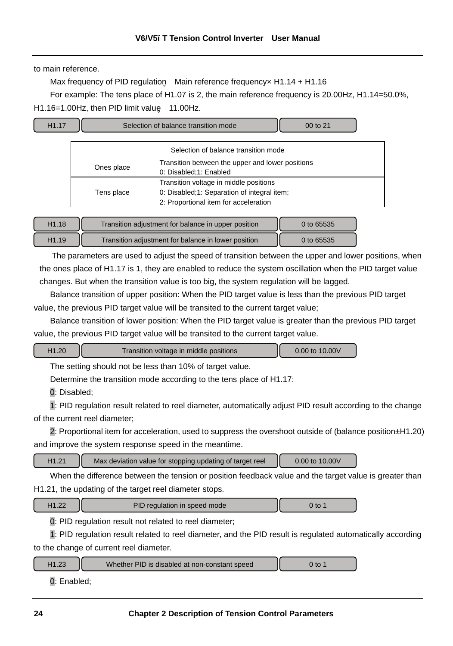to main reference.

Max frequency of PID regulation Main reference frequency x H1.14 + H1.16

For example: The tens place of H1.07 is 2, the main reference frequency is 20.00Hz, H1.14=50.0%, H1.16=1.00Hz, then PID limit value 11.00Hz.



| H1.18 | Transition adjustment for balance in upper position | 0 to 65535 |
|-------|-----------------------------------------------------|------------|
| H1.19 | Transition adjustment for balance in lower position | 0 to 65535 |

The parameters are used to adjust the speed of transition between the upper and lower positions, when the ones place of H1.17 is 1, they are enabled to reduce the system oscillation when the PID target value changes. But when the transition value is too big, the system regulation will be lagged.

Balance transition of upper position: When the PID target value is less than the previous PID target value, the previous PID target value will be transited to the current target value;

Balance transition of lower position: When the PID target value is greater than the previous PID target value, the previous PID target value will be transited to the current target value.

| H <sub>1.20</sub><br>Transition voltage in middle positions | 0.00 to 10.00V |
|-------------------------------------------------------------|----------------|
|-------------------------------------------------------------|----------------|

The setting should not be less than 10% of target value.

Determine the transition mode according to the tens place of H1.17:

0: Disabled;

1: PID regulation result related to reel diameter, automatically adjust PID result according to the change of the current reel diameter;

2: Proportional item for acceleration, used to suppress the overshoot outside of (balance position±H1.20) and improve the system response speed in the meantime.

H1.21 **Max deviation value for stopping updating of target reel 0.00 to 10.00V** 

When the difference between the tension or position feedback value and the target value is greater than H1.21, the updating of the target reel diameter stops.

| H <sub>1.22</sub> | PID regulation in speed mode | 0 to |
|-------------------|------------------------------|------|
|-------------------|------------------------------|------|

0: PID regulation result not related to reel diameter;

1: PID regulation result related to reel diameter, and the PID result is regulated automatically according to the change of current reel diameter.

| $+1.23$ | Whether PID is disabled at non-constant speed | to |  |
|---------|-----------------------------------------------|----|--|
|         |                                               |    |  |

0: Enabled;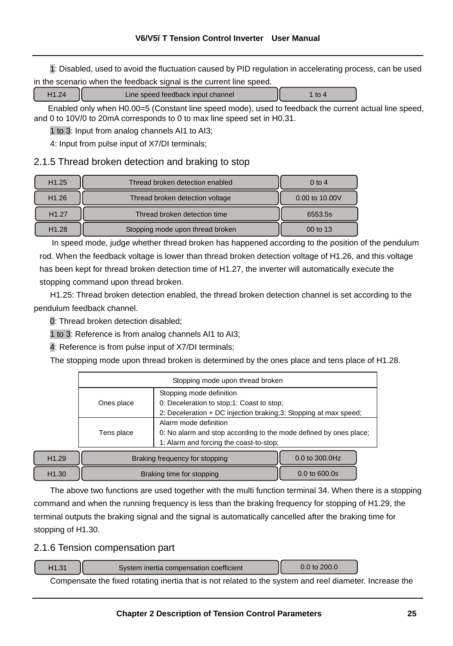1: Disabled, used to avoid the fluctuation caused by PID regulation in accelerating process, can be used in the scenario when the feedback signal is the current line speed.

| Line speed feedback input channel |  |
|-----------------------------------|--|

Enabled only when H0.00=5 (Constant line speed mode), used to feedback the current actual line speed, and 0 to 10V/0 to 20mA corresponds to 0 to max line speed set in H0.31.

1 to 3: Input from analog channels AI1 to AI3;

4: Input from pulse input of X7/DI terminals;

## 2.1.5 Thread broken detection and braking to stop

| H <sub>1.25</sub> | Thread broken detection enabled  | $0$ to 4       |
|-------------------|----------------------------------|----------------|
| H <sub>1.26</sub> | Thread broken detection voltage  | 0.00 to 10.00V |
| H <sub>1.27</sub> | Thread broken detection time     | 6553.5s        |
| H <sub>1.28</sub> | Stopping mode upon thread broken | 00 to 13       |

In speed mode, judge whether thread broken has happened according to the position of the pendulum rod. When the feedback voltage is lower than thread broken detection voltage of H1.26, and this voltage has been kept for thread broken detection time of H1.27, the inverter will automatically execute the stopping command upon thread broken.

H1.25: Thread broken detection enabled, the thread broken detection channel is set according to the pendulum feedback channel.

0: Thread broken detection disabled;

1 to 3: Reference is from analog channels AI1 to AI3;

4: Reference is from pulse input of X7/DI terminals;

The stopping mode upon thread broken is determined by the ones place and tens place of H1.28.

|       | Stopping mode upon thread broken                                 |                                                                   |  |  |
|-------|------------------------------------------------------------------|-------------------------------------------------------------------|--|--|
|       |                                                                  | Stopping mode definition                                          |  |  |
|       | Ones place                                                       | 0: Deceleration to stop; 1: Coast to stop;                        |  |  |
|       | 2: Deceleration + DC injection braking;3: Stopping at max speed; |                                                                   |  |  |
|       |                                                                  | Alarm mode definition                                             |  |  |
|       | Tens place                                                       | 0: No alarm and stop according to the mode defined by ones place; |  |  |
|       |                                                                  | 1: Alarm and forcing the coast-to-stop;                           |  |  |
| H1.29 |                                                                  | 0.0 to 300.0Hz<br>Braking frequency for stopping                  |  |  |

H1.30 **Braking time for stopping 1.30** 0.0 to 600.0s

The above two functions are used together with the multi function terminal 34. When there is a stopping command and when the running frequency is less than the braking frequency for stopping of H1.29, the terminal outputs the braking signal and the signal is automatically cancelled after the braking time for stopping of H1.30.

## 2.1.6 Tension compensation part

| $-11.31$<br>ا ت | System inertia compensation coefficient | to $200.0$ |
|-----------------|-----------------------------------------|------------|
|                 |                                         |            |

Compensate the fixed rotating inertia that is not related to the system and reel diameter. Increase the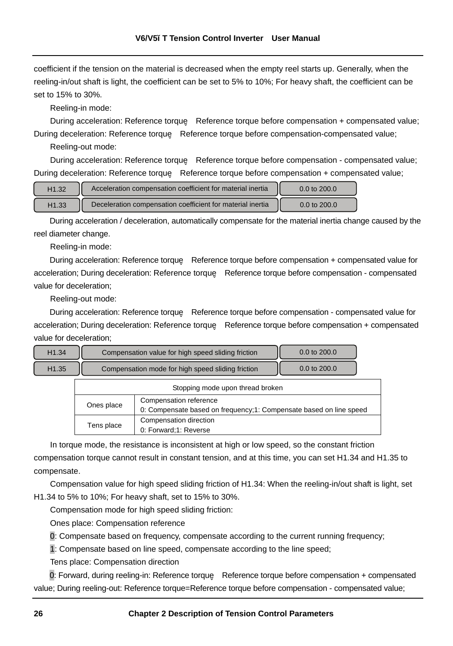coefficient if the tension on the material is decreased when the empty reel starts up. Generally, when the reeling-in/out shaft is light, the coefficient can be set to 5% to 10%; For heavy shaft, the coefficient can be set to 15% to 30%.

Reeling-in mode:

During acceleration: Reference torque Reference torque before compensation + compensated value; During deceleration: Reference torque Reference torque before compensation-compensated value;

Reeling-out mode:

During acceleration: Reference torque Reference torque before compensation - compensated value; During deceleration: Reference torque Reference torque before compensation + compensated value;

| H <sub>1.32</sub> | Acceleration compensation coefficient for material inertial | $0.0$ to $200.0$ |
|-------------------|-------------------------------------------------------------|------------------|
| H <sub>1.33</sub> | Deceleration compensation coefficient for material inertia  | $0.0$ to $200.0$ |

During acceleration / deceleration, automatically compensate for the material inertia change caused by the reel diameter change.

Reeling-in mode:

During acceleration: Reference torque Reference torque before compensation + compensated value for acceleration; During deceleration: Reference torque Reference torque before compensation - compensated value for deceleration;

Reeling-out mode:

During acceleration: Reference torque Reference torque before compensation - compensated value for acceleration; During deceleration: Reference torque Reference torque before compensation + compensated value for deceleration;

| H <sub>1.34</sub> | Compensation value for high speed sliding friction | $0.0$ to $200.0$        |
|-------------------|----------------------------------------------------|-------------------------|
| H <sub>1.35</sub> | Compensation mode for high speed sliding friction  | $0.0 \text{ to } 200.0$ |

| Stopping mode upon thread broken |                                                                     |  |
|----------------------------------|---------------------------------------------------------------------|--|
|                                  | Compensation reference                                              |  |
| Ones place                       | 0: Compensate based on frequency; 1: Compensate based on line speed |  |
|                                  | Compensation direction                                              |  |
| Tens place                       | 0: Forward;1: Reverse                                               |  |

In torque mode, the resistance is inconsistent at high or low speed, so the constant friction compensation torque cannot result in constant tension, and at this time, you can set H1.34 and H1.35 to compensate.

Compensation value for high speed sliding friction of H1.34: When the reeling-in/out shaft is light, set H1.34 to 5% to 10%; For heavy shaft, set to 15% to 30%.

Compensation mode for high speed sliding friction:

Ones place: Compensation reference

0: Compensate based on frequency, compensate according to the current running frequency;

1: Compensate based on line speed, compensate according to the line speed;

Tens place: Compensation direction

0: Forward, during reeling-in: Reference torque Reference torque before compensation + compensated value; During reeling-out: Reference torque=Reference torque before compensation - compensated value;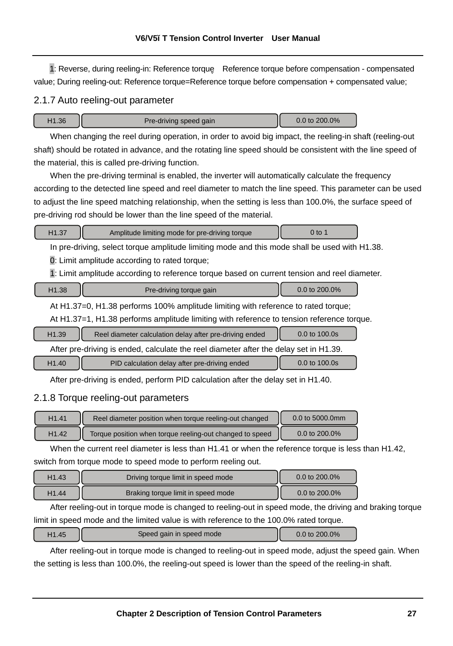1: Reverse, during reeling-in: Reference torque Reference torque before compensation - compensated value; During reeling-out: Reference torque=Reference torque before compensation + compensated value;

#### 2.1.7 Auto reeling-out parameter

| 11.36<br>Pre-driving speed gain | 0.0 to $200.0\%$ |  |
|---------------------------------|------------------|--|
|---------------------------------|------------------|--|

When changing the reel during operation, in order to avoid big impact, the reeling-in shaft (reeling-out shaft) should be rotated in advance, and the rotating line speed should be consistent with the line speed of the material, this is called pre-driving function.

When the pre-driving terminal is enabled, the inverter will automatically calculate the frequency according to the detected line speed and reel diameter to match the line speed. This parameter can be used to adjust the line speed matching relationship, when the setting is less than 100.0%, the surface speed of pre-driving rod should be lower than the line speed of the material.

| H <sub>1.37</sub>                                                                  | Amplitude limiting mode for pre-driving torque                                                | $0$ to 1      |  |
|------------------------------------------------------------------------------------|-----------------------------------------------------------------------------------------------|---------------|--|
|                                                                                    | In pre-driving, select torque amplitude limiting mode and this mode shall be used with H1.38. |               |  |
|                                                                                    | 0: Limit amplitude according to rated torque;                                                 |               |  |
|                                                                                    | 1: Limit amplitude according to reference torque based on current tension and reel diameter.  |               |  |
| H <sub>1.38</sub>                                                                  | Pre-driving torque gain                                                                       | 0.0 to 200.0% |  |
| At H1.37=0, H1.38 performs 100% amplitude limiting with reference to rated torque; |                                                                                               |               |  |
|                                                                                    | At H1.37=1, H1.38 performs amplitude limiting with reference to tension reference torque.     |               |  |
| H <sub>1.39</sub>                                                                  | Reel diameter calculation delay after pre-driving ended                                       | 0.0 to 100.0s |  |

After pre-driving is ended, calculate the reel diameter after the delay set in H1.39. H1.40 **PID** calculation delay after pre-driving ended **100.0s** 

After pre-driving is ended, perform PID calculation after the delay set in H1.40.

## 2.1.8 Torque reeling-out parameters

ι

| H <sub>1.41</sub> | Reel diameter position when torque reeling-out changed   | 0.0 to 5000.0mm    |
|-------------------|----------------------------------------------------------|--------------------|
| H <sub>1.42</sub> | Torque position when torque reeling-out changed to speed | $0.0$ to $200.0\%$ |

When the current reel diameter is less than H1.41 or when the reference torque is less than H1.42, switch from torque mode to speed mode to perform reeling out.

| H <sub>1.43</sub> | Driving torque limit in speed mode | 0.0 to 200.0% |
|-------------------|------------------------------------|---------------|
| H <sub>1.44</sub> | Braking torque limit in speed mode | 0.0 to 200.0% |

After reeling-out in torque mode is changed to reeling-out in speed mode, the driving and braking torque limit in speed mode and the limited value is with reference to the 100.0% rated torque.

| 11.45 | Speed gain in speed mode | 0.0 to 200.0% |
|-------|--------------------------|---------------|
|       |                          |               |

After reeling-out in torque mode is changed to reeling-out in speed mode, adjust the speed gain. When the setting is less than 100.0%, the reeling-out speed is lower than the speed of the reeling-in shaft.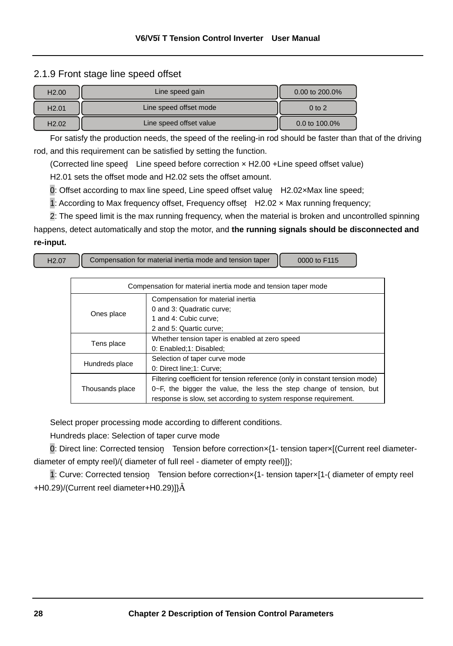#### 2.1.9 Front stage line speed offset

| H2.00             | Line speed gain         | 0.00 to $200.0\%$ |
|-------------------|-------------------------|-------------------|
| H <sub>2.01</sub> | Line speed offset mode  | $0$ to $2$        |
| H <sub>2.02</sub> | Line speed offset value | 0.0 to 100.0%     |

For satisfy the production needs, the speed of the reeling-in rod should be faster than that of the driving rod, and this requirement can be satisfied by setting the function.

(Corrected line speed Line speed before correction × H2.00 +Line speed offset value)

H2.01 sets the offset mode and H2.02 sets the offset amount.

0: Offset according to max line speed, Line speed offset value H2.02×Max line speed;

1: According to Max frequency offset, Frequency offset H2.02 × Max running frequency;

2: The speed limit is the max running frequency, when the material is broken and uncontrolled spinning

happens, detect automatically and stop the motor, and **the running signals should be disconnected and re-input.** 

H2.07 Compensation for material inertia mode and tension taper  $\parallel$  0000 to F115

| Compensation for material inertia mode and tension taper mode |                                                                             |  |  |
|---------------------------------------------------------------|-----------------------------------------------------------------------------|--|--|
|                                                               | Compensation for material inertia                                           |  |  |
|                                                               | 0 and 3: Quadratic curve;                                                   |  |  |
| Ones place                                                    | 1 and 4: Cubic curve:                                                       |  |  |
|                                                               | 2 and 5: Quartic curve:                                                     |  |  |
|                                                               | Whether tension taper is enabled at zero speed                              |  |  |
| Tens place                                                    | 0: Enabled;1: Disabled;                                                     |  |  |
|                                                               | Selection of taper curve mode                                               |  |  |
| Hundreds place                                                | 0: Direct line:1: Curve:                                                    |  |  |
|                                                               | Filtering coefficient for tension reference (only in constant tension mode) |  |  |
| Thousands place                                               | $0\nu$ -F, the bigger the value, the less the step change of tension, but   |  |  |
|                                                               | response is slow, set according to system response requirement.             |  |  |

Select proper processing mode according to different conditions.

Hundreds place: Selection of taper curve mode

0: Direct line: Corrected tension Tension before correction×{1- tension taper×[(Current reel diameterdiameter of empty reel)/( diameter of full reel - diameter of empty reel)]};

1: Curve: Corrected tension Tension before correction×{1- tension taper×[1-( diameter of empty reel +H0.29)/(Current reel diameter+H0.29)]}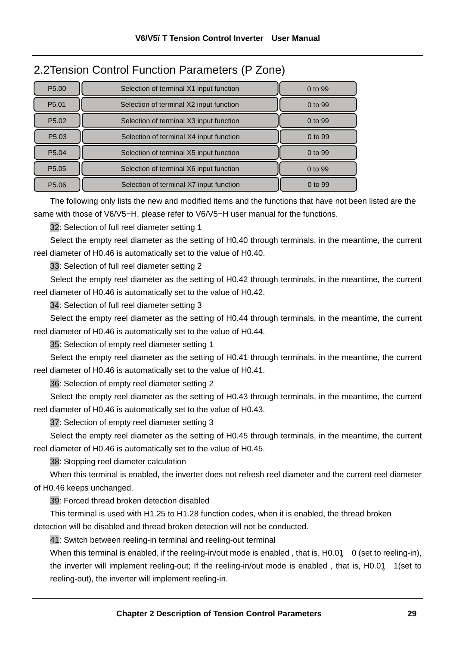## 2.2Tension Control Function Parameters (P Zone)

| P <sub>5.00</sub> | Selection of terminal X1 input function | $0$ to 99 |
|-------------------|-----------------------------------------|-----------|
| P <sub>5.01</sub> | Selection of terminal X2 input function | $0$ to 99 |
| P <sub>5.02</sub> | Selection of terminal X3 input function | 0 to 99   |
| P <sub>5.03</sub> | Selection of terminal X4 input function | 0 to 99   |
| P <sub>5.04</sub> | Selection of terminal X5 input function | 0 to 99   |
| P5.05             | Selection of terminal X6 input function | 0 to 99   |
| P <sub>5.06</sub> | Selection of terminal X7 input function | 0 to 99   |

The following only lists the new and modified items and the functions that have not been listed are the same with those of V6/V5−H, please refer to V6/V5−H user manual for the functions.

32: Selection of full reel diameter setting 1

Select the empty reel diameter as the setting of H0.40 through terminals, in the meantime, the current reel diameter of H0.46 is automatically set to the value of H0.40.

33: Selection of full reel diameter setting 2

Select the empty reel diameter as the setting of H0.42 through terminals, in the meantime, the current reel diameter of H0.46 is automatically set to the value of H0.42.

34: Selection of full reel diameter setting 3

Select the empty reel diameter as the setting of H0.44 through terminals, in the meantime, the current reel diameter of H0.46 is automatically set to the value of H0.44.

35: Selection of empty reel diameter setting 1

Select the empty reel diameter as the setting of H0.41 through terminals, in the meantime, the current reel diameter of H0.46 is automatically set to the value of H0.41.

36: Selection of empty reel diameter setting 2

Select the empty reel diameter as the setting of H0.43 through terminals, in the meantime, the current reel diameter of H0.46 is automatically set to the value of H0.43.

37: Selection of empty reel diameter setting 3

Select the empty reel diameter as the setting of H0.45 through terminals, in the meantime, the current reel diameter of H0.46 is automatically set to the value of H0.45.

38: Stopping reel diameter calculation

When this terminal is enabled, the inverter does not refresh reel diameter and the current reel diameter of H0.46 keeps unchanged.

39: Forced thread broken detection disabled

This terminal is used with H1.25 to H1.28 function codes, when it is enabled, the thread broken detection will be disabled and thread broken detection will not be conducted.

41: Switch between reeling-in terminal and reeling-out terminal

When this terminal is enabled, if the reeling-in/out mode is enabled, that is, H0.01 0 (set to reeling-in), the inverter will implement reeling-out; If the reeling-in/out mode is enabled , that is, H0.01 1(set to reeling-out), the inverter will implement reeling-in.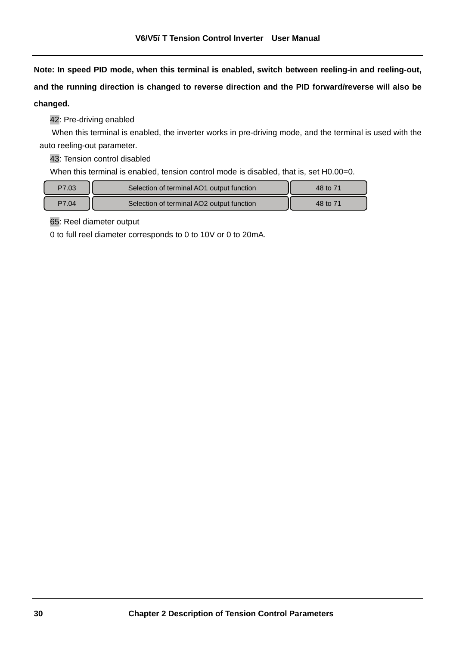**Note: In speed PID mode, when this terminal is enabled, switch between reeling-in and reeling-out, and the running direction is changed to reverse direction and the PID forward/reverse will also be changed.** 

42: Pre-driving enabled

When this terminal is enabled, the inverter works in pre-driving mode, and the terminal is used with the auto reeling-out parameter.

43: Tension control disabled

When this terminal is enabled, tension control mode is disabled, that is, set H0.00=0.

| P7.03 | Selection of terminal AO1 output function | 48 to 71 |
|-------|-------------------------------------------|----------|
| P7.04 | Selection of terminal AO2 output function | 48 to 71 |

65: Reel diameter output

0 to full reel diameter corresponds to 0 to 10V or 0 to 20mA.